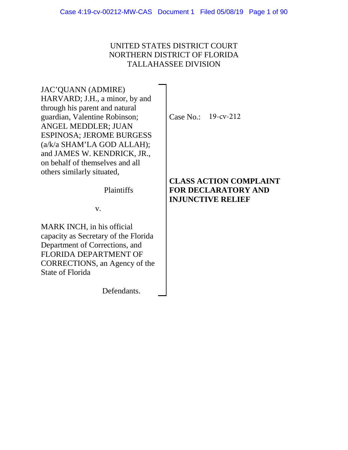## UNITED STATES DISTRICT COURT NORTHERN DISTRICT OF FLORIDA TALLAHASSEE DIVISION

JAC'QUANN (ADMIRE) HARVARD; J.H., a minor, by and through his parent and natural guardian, Valentine Robinson; ANGEL MEDDLER; JUAN ESPINOSA; JEROME BURGESS (a/k/a SHAM'LA GOD ALLAH); and JAMES W. KENDRICK, JR., on behalf of themselves and all others similarly situated,

Case No.: 19-cv-212

Plaintiffs

v.

MARK INCH, in his official capacity as Secretary of the Florida Department of Corrections, and FLORIDA DEPARTMENT OF CORRECTIONS, an Agency of the State of Florida

Defendants.

**CLASS ACTION COMPLAINT FOR DECLARATORY AND INJUNCTIVE RELIEF**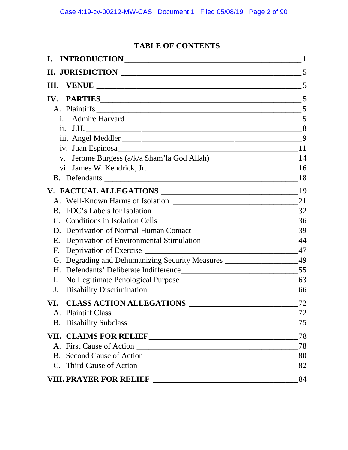# **TABLE OF CONTENTS**

| I.                                                                                 |    |
|------------------------------------------------------------------------------------|----|
|                                                                                    | 5  |
| Ш.                                                                                 |    |
| <b>PARTIES</b> 5<br>IV.                                                            |    |
|                                                                                    |    |
| i.                                                                                 |    |
|                                                                                    |    |
|                                                                                    |    |
|                                                                                    |    |
| $V_{\bullet}$                                                                      |    |
|                                                                                    |    |
|                                                                                    |    |
|                                                                                    | 19 |
|                                                                                    |    |
|                                                                                    |    |
|                                                                                    |    |
|                                                                                    |    |
| Deprivation of Environmental Stimulation__________________________________44<br>Е. |    |
| F.                                                                                 |    |
| G. Degrading and Dehumanizing Security Measures _____________________49            |    |
|                                                                                    |    |
| $\mathbf{I}$ .                                                                     |    |
| J.                                                                                 |    |
| CLASS ACTION ALLEGATIONS<br>VI.                                                    | 72 |
|                                                                                    | 72 |
|                                                                                    | 75 |
|                                                                                    | 78 |
|                                                                                    | 78 |
|                                                                                    |    |
|                                                                                    |    |
|                                                                                    | 84 |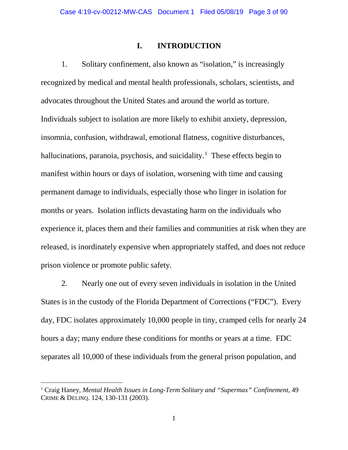### **I. INTRODUCTION**

1. Solitary confinement, also known as "isolation," is increasingly recognized by medical and mental health professionals, scholars, scientists, and advocates throughout the United States and around the world as torture. Individuals subject to isolation are more likely to exhibit anxiety, depression, insomnia, confusion, withdrawal, emotional flatness, cognitive disturbances, hallucinations, paranoia, psychosis, and suicidality.<sup>1</sup> These effects begin to manifest within hours or days of isolation, worsening with time and causing permanent damage to individuals, especially those who linger in isolation for months or years. Isolation inflicts devastating harm on the individuals who experience it, places them and their families and communities at risk when they are released, is inordinately expensive when appropriately staffed, and does not reduce prison violence or promote public safety.

2. Nearly one out of every seven individuals in isolation in the United States is in the custody of the Florida Department of Corrections ("FDC"). Every day, FDC isolates approximately 10,000 people in tiny, cramped cells for nearly 24 hours a day; many endure these conditions for months or years at a time. FDC separates all 10,000 of these individuals from the general prison population, and

<sup>1</sup> Craig Haney, *Mental Health Issues in Long-Term Solitary and "Supermax" Confinement*, 49 CRIME & DELINQ. 124, 130-131 (2003).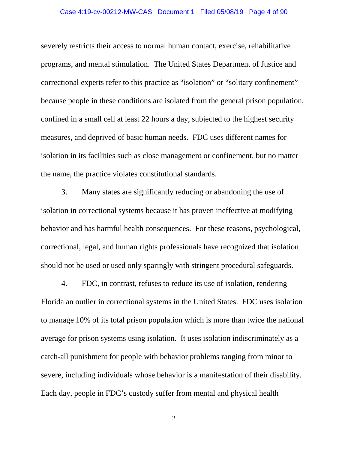## Case 4:19-cv-00212-MW-CAS Document 1 Filed 05/08/19 Page 4 of 90

severely restricts their access to normal human contact, exercise, rehabilitative programs, and mental stimulation. The United States Department of Justice and correctional experts refer to this practice as "isolation" or "solitary confinement" because people in these conditions are isolated from the general prison population, confined in a small cell at least 22 hours a day, subjected to the highest security measures, and deprived of basic human needs. FDC uses different names for isolation in its facilities such as close management or confinement, but no matter the name, the practice violates constitutional standards.

3. Many states are significantly reducing or abandoning the use of isolation in correctional systems because it has proven ineffective at modifying behavior and has harmful health consequences. For these reasons, psychological, correctional, legal, and human rights professionals have recognized that isolation should not be used or used only sparingly with stringent procedural safeguards.

4. FDC, in contrast, refuses to reduce its use of isolation, rendering Florida an outlier in correctional systems in the United States. FDC uses isolation to manage 10% of its total prison population which is more than twice the national average for prison systems using isolation. It uses isolation indiscriminately as a catch-all punishment for people with behavior problems ranging from minor to severe, including individuals whose behavior is a manifestation of their disability. Each day, people in FDC's custody suffer from mental and physical health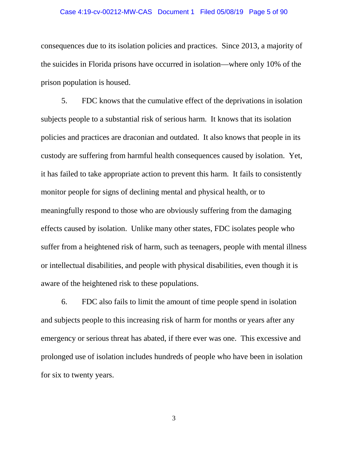#### Case 4:19-cv-00212-MW-CAS Document 1 Filed 05/08/19 Page 5 of 90

consequences due to its isolation policies and practices. Since 2013, a majority of the suicides in Florida prisons have occurred in isolation—where only 10% of the prison population is housed.

5. FDC knows that the cumulative effect of the deprivations in isolation subjects people to a substantial risk of serious harm. It knows that its isolation policies and practices are draconian and outdated. It also knows that people in its custody are suffering from harmful health consequences caused by isolation. Yet, it has failed to take appropriate action to prevent this harm. It fails to consistently monitor people for signs of declining mental and physical health, or to meaningfully respond to those who are obviously suffering from the damaging effects caused by isolation. Unlike many other states, FDC isolates people who suffer from a heightened risk of harm, such as teenagers, people with mental illness or intellectual disabilities, and people with physical disabilities, even though it is aware of the heightened risk to these populations.

6. FDC also fails to limit the amount of time people spend in isolation and subjects people to this increasing risk of harm for months or years after any emergency or serious threat has abated, if there ever was one. This excessive and prolonged use of isolation includes hundreds of people who have been in isolation for six to twenty years.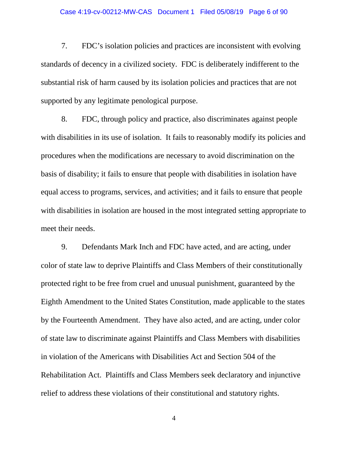## Case 4:19-cv-00212-MW-CAS Document 1 Filed 05/08/19 Page 6 of 90

7. FDC's isolation policies and practices are inconsistent with evolving standards of decency in a civilized society. FDC is deliberately indifferent to the substantial risk of harm caused by its isolation policies and practices that are not supported by any legitimate penological purpose.

8. FDC, through policy and practice, also discriminates against people with disabilities in its use of isolation. It fails to reasonably modify its policies and procedures when the modifications are necessary to avoid discrimination on the basis of disability; it fails to ensure that people with disabilities in isolation have equal access to programs, services, and activities; and it fails to ensure that people with disabilities in isolation are housed in the most integrated setting appropriate to meet their needs.

9. Defendants Mark Inch and FDC have acted, and are acting, under color of state law to deprive Plaintiffs and Class Members of their constitutionally protected right to be free from cruel and unusual punishment, guaranteed by the Eighth Amendment to the United States Constitution, made applicable to the states by the Fourteenth Amendment. They have also acted, and are acting, under color of state law to discriminate against Plaintiffs and Class Members with disabilities in violation of the Americans with Disabilities Act and Section 504 of the Rehabilitation Act. Plaintiffs and Class Members seek declaratory and injunctive relief to address these violations of their constitutional and statutory rights.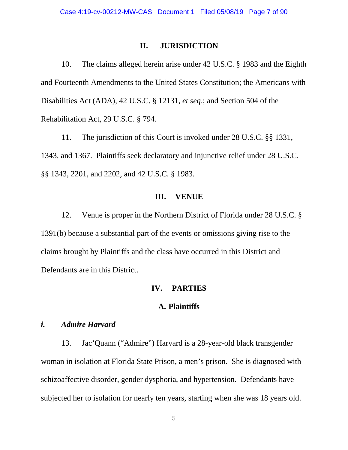### **II. JURISDICTION**

10. The claims alleged herein arise under 42 U.S.C. § 1983 and the Eighth and Fourteenth Amendments to the United States Constitution; the Americans with Disabilities Act (ADA), 42 U.S.C. § 12131, *et seq*.; and Section 504 of the Rehabilitation Act, 29 U.S.C. § 794.

11. The jurisdiction of this Court is invoked under 28 U.S.C. §§ 1331, 1343, and 1367. Plaintiffs seek declaratory and injunctive relief under 28 U.S.C. §§ 1343, 2201, and 2202, and 42 U.S.C. § 1983.

### **III. VENUE**

12. Venue is proper in the Northern District of Florida under 28 U.S.C. § 1391(b) because a substantial part of the events or omissions giving rise to the claims brought by Plaintiffs and the class have occurred in this District and Defendants are in this District.

## **IV. PARTIES**

### **A. Plaintiffs**

## *i. Admire Harvard*

13. Jac'Quann ("Admire") Harvard is a 28-year-old black transgender woman in isolation at Florida State Prison, a men's prison. She is diagnosed with schizoaffective disorder, gender dysphoria, and hypertension. Defendants have subjected her to isolation for nearly ten years, starting when she was 18 years old.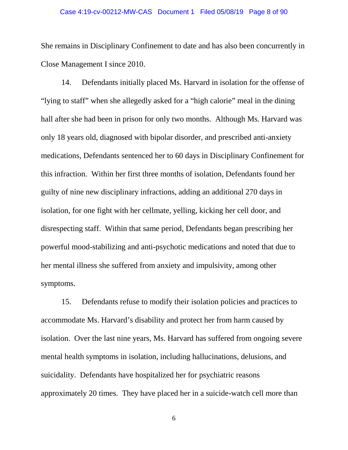## Case 4:19-cv-00212-MW-CAS Document 1 Filed 05/08/19 Page 8 of 90

She remains in Disciplinary Confinement to date and has also been concurrently in Close Management I since 2010.

14. Defendants initially placed Ms. Harvard in isolation for the offense of "lying to staff" when she allegedly asked for a "high calorie" meal in the dining hall after she had been in prison for only two months. Although Ms. Harvard was only 18 years old, diagnosed with bipolar disorder, and prescribed anti-anxiety medications, Defendants sentenced her to 60 days in Disciplinary Confinement for this infraction. Within her first three months of isolation, Defendants found her guilty of nine new disciplinary infractions, adding an additional 270 days in isolation, for one fight with her cellmate, yelling, kicking her cell door, and disrespecting staff. Within that same period, Defendants began prescribing her powerful mood-stabilizing and anti-psychotic medications and noted that due to her mental illness she suffered from anxiety and impulsivity, among other symptoms.

15. Defendants refuse to modify their isolation policies and practices to accommodate Ms. Harvard's disability and protect her from harm caused by isolation. Over the last nine years, Ms. Harvard has suffered from ongoing severe mental health symptoms in isolation, including hallucinations, delusions, and suicidality. Defendants have hospitalized her for psychiatric reasons approximately 20 times. They have placed her in a suicide-watch cell more than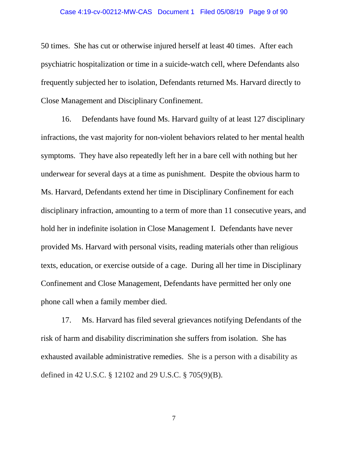#### Case 4:19-cv-00212-MW-CAS Document 1 Filed 05/08/19 Page 9 of 90

50 times. She has cut or otherwise injured herself at least 40 times. After each psychiatric hospitalization or time in a suicide-watch cell, where Defendants also frequently subjected her to isolation, Defendants returned Ms. Harvard directly to Close Management and Disciplinary Confinement.

16. Defendants have found Ms. Harvard guilty of at least 127 disciplinary infractions, the vast majority for non-violent behaviors related to her mental health symptoms. They have also repeatedly left her in a bare cell with nothing but her underwear for several days at a time as punishment. Despite the obvious harm to Ms. Harvard, Defendants extend her time in Disciplinary Confinement for each disciplinary infraction, amounting to a term of more than 11 consecutive years, and hold her in indefinite isolation in Close Management I. Defendants have never provided Ms. Harvard with personal visits, reading materials other than religious texts, education, or exercise outside of a cage. During all her time in Disciplinary Confinement and Close Management, Defendants have permitted her only one phone call when a family member died.

17. Ms. Harvard has filed several grievances notifying Defendants of the risk of harm and disability discrimination she suffers from isolation. She has exhausted available administrative remedies. She is a person with a disability as defined in 42 U.S.C. § 12102 and 29 U.S.C. § 705(9)(B).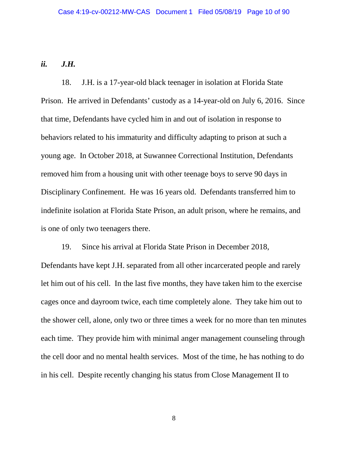## *ii. J.H.*

18. J.H. is a 17-year-old black teenager in isolation at Florida State Prison. He arrived in Defendants' custody as a 14-year-old on July 6, 2016. Since that time, Defendants have cycled him in and out of isolation in response to behaviors related to his immaturity and difficulty adapting to prison at such a young age. In October 2018, at Suwannee Correctional Institution, Defendants removed him from a housing unit with other teenage boys to serve 90 days in Disciplinary Confinement. He was 16 years old. Defendants transferred him to indefinite isolation at Florida State Prison, an adult prison, where he remains, and is one of only two teenagers there.

19. Since his arrival at Florida State Prison in December 2018, Defendants have kept J.H. separated from all other incarcerated people and rarely let him out of his cell. In the last five months, they have taken him to the exercise cages once and dayroom twice, each time completely alone. They take him out to the shower cell, alone, only two or three times a week for no more than ten minutes each time. They provide him with minimal anger management counseling through the cell door and no mental health services. Most of the time, he has nothing to do in his cell. Despite recently changing his status from Close Management II to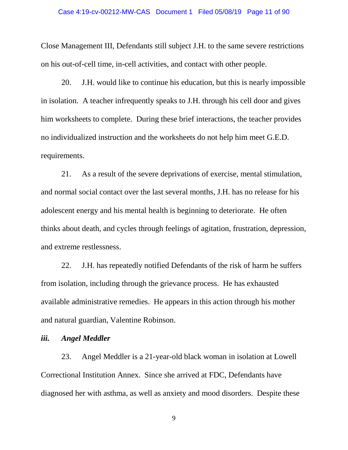#### Case 4:19-cv-00212-MW-CAS Document 1 Filed 05/08/19 Page 11 of 90

Close Management III, Defendants still subject J.H. to the same severe restrictions on his out-of-cell time, in-cell activities, and contact with other people.

20. J.H. would like to continue his education, but this is nearly impossible in isolation. A teacher infrequently speaks to J.H. through his cell door and gives him worksheets to complete. During these brief interactions, the teacher provides no individualized instruction and the worksheets do not help him meet G.E.D. requirements.

21. As a result of the severe deprivations of exercise, mental stimulation, and normal social contact over the last several months, J.H. has no release for his adolescent energy and his mental health is beginning to deteriorate. He often thinks about death, and cycles through feelings of agitation, frustration, depression, and extreme restlessness.

22. J.H. has repeatedly notified Defendants of the risk of harm he suffers from isolation, including through the grievance process. He has exhausted available administrative remedies. He appears in this action through his mother and natural guardian, Valentine Robinson.

### *iii. Angel Meddler*

23. Angel Meddler is a 21-year-old black woman in isolation at Lowell Correctional Institution Annex. Since she arrived at FDC, Defendants have diagnosed her with asthma, as well as anxiety and mood disorders. Despite these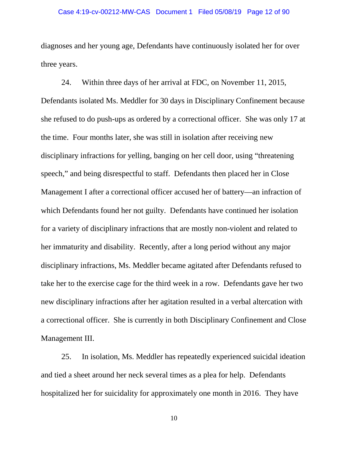## Case 4:19-cv-00212-MW-CAS Document 1 Filed 05/08/19 Page 12 of 90

diagnoses and her young age, Defendants have continuously isolated her for over three years.

24. Within three days of her arrival at FDC, on November 11, 2015, Defendants isolated Ms. Meddler for 30 days in Disciplinary Confinement because she refused to do push-ups as ordered by a correctional officer. She was only 17 at the time. Four months later, she was still in isolation after receiving new disciplinary infractions for yelling, banging on her cell door, using "threatening speech," and being disrespectful to staff. Defendants then placed her in Close Management I after a correctional officer accused her of battery—an infraction of which Defendants found her not guilty. Defendants have continued her isolation for a variety of disciplinary infractions that are mostly non-violent and related to her immaturity and disability. Recently, after a long period without any major disciplinary infractions, Ms. Meddler became agitated after Defendants refused to take her to the exercise cage for the third week in a row. Defendants gave her two new disciplinary infractions after her agitation resulted in a verbal altercation with a correctional officer. She is currently in both Disciplinary Confinement and Close Management III.

25. In isolation, Ms. Meddler has repeatedly experienced suicidal ideation and tied a sheet around her neck several times as a plea for help. Defendants hospitalized her for suicidality for approximately one month in 2016. They have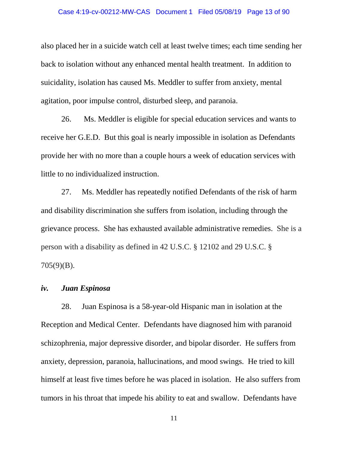#### Case 4:19-cv-00212-MW-CAS Document 1 Filed 05/08/19 Page 13 of 90

also placed her in a suicide watch cell at least twelve times; each time sending her back to isolation without any enhanced mental health treatment. In addition to suicidality, isolation has caused Ms. Meddler to suffer from anxiety, mental agitation, poor impulse control, disturbed sleep, and paranoia.

26. Ms. Meddler is eligible for special education services and wants to receive her G.E.D. But this goal is nearly impossible in isolation as Defendants provide her with no more than a couple hours a week of education services with little to no individualized instruction.

27. Ms. Meddler has repeatedly notified Defendants of the risk of harm and disability discrimination she suffers from isolation, including through the grievance process. She has exhausted available administrative remedies. She is a person with a disability as defined in 42 U.S.C. § 12102 and 29 U.S.C. § 705(9)(B).

## *iv. Juan Espinosa*

28. Juan Espinosa is a 58-year-old Hispanic man in isolation at the Reception and Medical Center. Defendants have diagnosed him with paranoid schizophrenia, major depressive disorder, and bipolar disorder. He suffers from anxiety, depression, paranoia, hallucinations, and mood swings. He tried to kill himself at least five times before he was placed in isolation. He also suffers from tumors in his throat that impede his ability to eat and swallow. Defendants have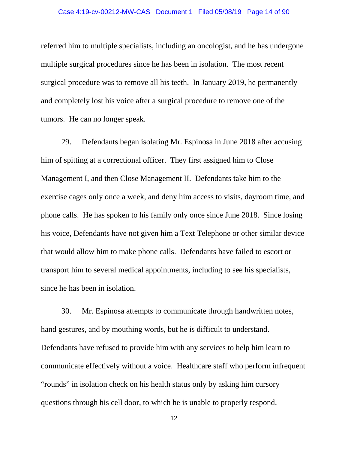#### Case 4:19-cv-00212-MW-CAS Document 1 Filed 05/08/19 Page 14 of 90

referred him to multiple specialists, including an oncologist, and he has undergone multiple surgical procedures since he has been in isolation. The most recent surgical procedure was to remove all his teeth. In January 2019, he permanently and completely lost his voice after a surgical procedure to remove one of the tumors. He can no longer speak.

29. Defendants began isolating Mr. Espinosa in June 2018 after accusing him of spitting at a correctional officer. They first assigned him to Close Management I, and then Close Management II. Defendants take him to the exercise cages only once a week, and deny him access to visits, dayroom time, and phone calls. He has spoken to his family only once since June 2018. Since losing his voice, Defendants have not given him a Text Telephone or other similar device that would allow him to make phone calls. Defendants have failed to escort or transport him to several medical appointments, including to see his specialists, since he has been in isolation.

30. Mr. Espinosa attempts to communicate through handwritten notes, hand gestures, and by mouthing words, but he is difficult to understand. Defendants have refused to provide him with any services to help him learn to communicate effectively without a voice. Healthcare staff who perform infrequent "rounds" in isolation check on his health status only by asking him cursory questions through his cell door, to which he is unable to properly respond.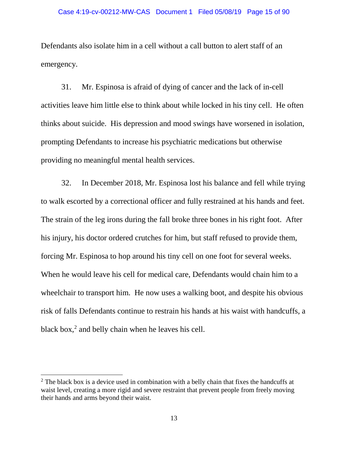Defendants also isolate him in a cell without a call button to alert staff of an emergency.

31. Mr. Espinosa is afraid of dying of cancer and the lack of in-cell activities leave him little else to think about while locked in his tiny cell. He often thinks about suicide. His depression and mood swings have worsened in isolation, prompting Defendants to increase his psychiatric medications but otherwise providing no meaningful mental health services.

32. In December 2018, Mr. Espinosa lost his balance and fell while trying to walk escorted by a correctional officer and fully restrained at his hands and feet. The strain of the leg irons during the fall broke three bones in his right foot. After his injury, his doctor ordered crutches for him, but staff refused to provide them, forcing Mr. Espinosa to hop around his tiny cell on one foot for several weeks. When he would leave his cell for medical care, Defendants would chain him to a wheelchair to transport him. He now uses a walking boot, and despite his obvious risk of falls Defendants continue to restrain his hands at his waist with handcuffs, a black box, $2$  and belly chain when he leaves his cell.

 $\overline{\phantom{a}}$ 

 $2^2$  The black box is a device used in combination with a belly chain that fixes the handcuffs at waist level, creating a more rigid and severe restraint that prevent people from freely moving their hands and arms beyond their waist.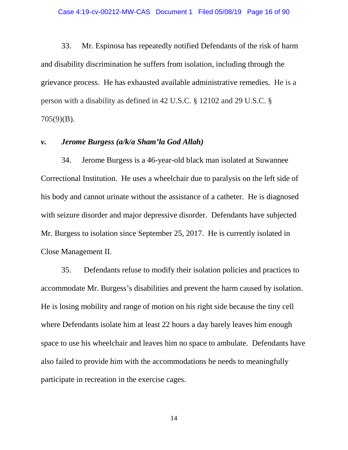33. Mr. Espinosa has repeatedly notified Defendants of the risk of harm and disability discrimination he suffers from isolation, including through the grievance process. He has exhausted available administrative remedies. He is a person with a disability as defined in 42 U.S.C. § 12102 and 29 U.S.C. § 705(9)(B).

### *v. Jerome Burgess (a/k/a Sham'la God Allah)*

34. Jerome Burgess is a 46-year-old black man isolated at Suwannee Correctional Institution. He uses a wheelchair due to paralysis on the left side of his body and cannot urinate without the assistance of a catheter. He is diagnosed with seizure disorder and major depressive disorder. Defendants have subjected Mr. Burgess to isolation since September 25, 2017. He is currently isolated in Close Management II.

35. Defendants refuse to modify their isolation policies and practices to accommodate Mr. Burgess's disabilities and prevent the harm caused by isolation. He is losing mobility and range of motion on his right side because the tiny cell where Defendants isolate him at least 22 hours a day barely leaves him enough space to use his wheelchair and leaves him no space to ambulate. Defendants have also failed to provide him with the accommodations he needs to meaningfully participate in recreation in the exercise cages.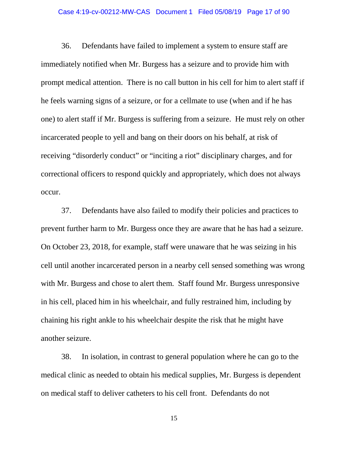## Case 4:19-cv-00212-MW-CAS Document 1 Filed 05/08/19 Page 17 of 90

36. Defendants have failed to implement a system to ensure staff are immediately notified when Mr. Burgess has a seizure and to provide him with prompt medical attention. There is no call button in his cell for him to alert staff if he feels warning signs of a seizure, or for a cellmate to use (when and if he has one) to alert staff if Mr. Burgess is suffering from a seizure. He must rely on other incarcerated people to yell and bang on their doors on his behalf, at risk of receiving "disorderly conduct" or "inciting a riot" disciplinary charges, and for correctional officers to respond quickly and appropriately, which does not always occur.

37. Defendants have also failed to modify their policies and practices to prevent further harm to Mr. Burgess once they are aware that he has had a seizure. On October 23, 2018, for example, staff were unaware that he was seizing in his cell until another incarcerated person in a nearby cell sensed something was wrong with Mr. Burgess and chose to alert them. Staff found Mr. Burgess unresponsive in his cell, placed him in his wheelchair, and fully restrained him, including by chaining his right ankle to his wheelchair despite the risk that he might have another seizure.

38. In isolation, in contrast to general population where he can go to the medical clinic as needed to obtain his medical supplies, Mr. Burgess is dependent on medical staff to deliver catheters to his cell front. Defendants do not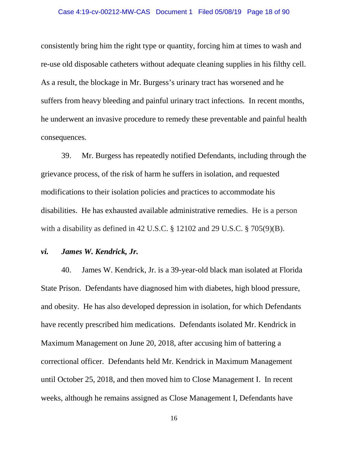consistently bring him the right type or quantity, forcing him at times to wash and re-use old disposable catheters without adequate cleaning supplies in his filthy cell. As a result, the blockage in Mr. Burgess's urinary tract has worsened and he suffers from heavy bleeding and painful urinary tract infections. In recent months, he underwent an invasive procedure to remedy these preventable and painful health consequences.

39. Mr. Burgess has repeatedly notified Defendants, including through the grievance process, of the risk of harm he suffers in isolation, and requested modifications to their isolation policies and practices to accommodate his disabilities. He has exhausted available administrative remedies. He is a person with a disability as defined in 42 U.S.C. § 12102 and 29 U.S.C. § 705(9)(B).

### *vi. James W. Kendrick, Jr.*

40. James W. Kendrick, Jr. is a 39-year-old black man isolated at Florida State Prison. Defendants have diagnosed him with diabetes, high blood pressure, and obesity. He has also developed depression in isolation, for which Defendants have recently prescribed him medications. Defendants isolated Mr. Kendrick in Maximum Management on June 20, 2018, after accusing him of battering a correctional officer. Defendants held Mr. Kendrick in Maximum Management until October 25, 2018, and then moved him to Close Management I. In recent weeks, although he remains assigned as Close Management I, Defendants have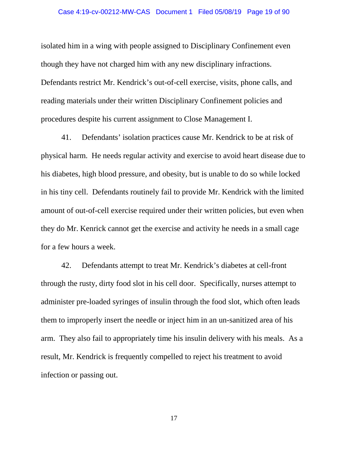isolated him in a wing with people assigned to Disciplinary Confinement even though they have not charged him with any new disciplinary infractions. Defendants restrict Mr. Kendrick's out-of-cell exercise, visits, phone calls, and reading materials under their written Disciplinary Confinement policies and procedures despite his current assignment to Close Management I.

41. Defendants' isolation practices cause Mr. Kendrick to be at risk of physical harm. He needs regular activity and exercise to avoid heart disease due to his diabetes, high blood pressure, and obesity, but is unable to do so while locked in his tiny cell. Defendants routinely fail to provide Mr. Kendrick with the limited amount of out-of-cell exercise required under their written policies, but even when they do Mr. Kenrick cannot get the exercise and activity he needs in a small cage for a few hours a week.

42. Defendants attempt to treat Mr. Kendrick's diabetes at cell-front through the rusty, dirty food slot in his cell door. Specifically, nurses attempt to administer pre-loaded syringes of insulin through the food slot, which often leads them to improperly insert the needle or inject him in an un-sanitized area of his arm. They also fail to appropriately time his insulin delivery with his meals. As a result, Mr. Kendrick is frequently compelled to reject his treatment to avoid infection or passing out.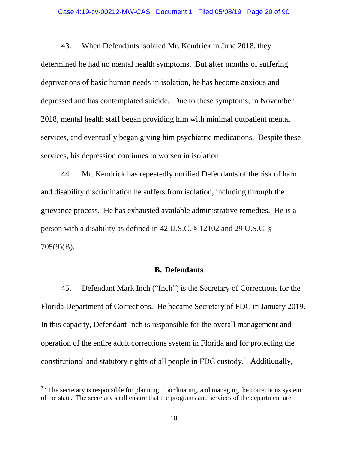#### Case 4:19-cv-00212-MW-CAS Document 1 Filed 05/08/19 Page 20 of 90

43. When Defendants isolated Mr. Kendrick in June 2018, they determined he had no mental health symptoms. But after months of suffering deprivations of basic human needs in isolation, he has become anxious and depressed and has contemplated suicide. Due to these symptoms, in November 2018, mental health staff began providing him with minimal outpatient mental services, and eventually began giving him psychiatric medications. Despite these services, his depression continues to worsen in isolation.

44. Mr. Kendrick has repeatedly notified Defendants of the risk of harm and disability discrimination he suffers from isolation, including through the grievance process. He has exhausted available administrative remedies. He is a person with a disability as defined in 42 U.S.C. § 12102 and 29 U.S.C. § 705(9)(B).

## **B. Defendants**

45. Defendant Mark Inch ("Inch") is the Secretary of Corrections for the Florida Department of Corrections. He became Secretary of FDC in January 2019. In this capacity, Defendant Inch is responsible for the overall management and operation of the entire adult corrections system in Florida and for protecting the constitutional and statutory rights of all people in FDC custody.<sup>3</sup> Additionally,

 $3$  "The secretary is responsible for planning, coordinating, and managing the corrections system of the state. The secretary shall ensure that the programs and services of the department are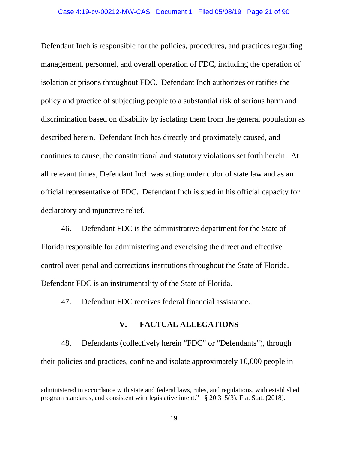Defendant Inch is responsible for the policies, procedures, and practices regarding management, personnel, and overall operation of FDC, including the operation of isolation at prisons throughout FDC. Defendant Inch authorizes or ratifies the policy and practice of subjecting people to a substantial risk of serious harm and discrimination based on disability by isolating them from the general population as described herein. Defendant Inch has directly and proximately caused, and continues to cause, the constitutional and statutory violations set forth herein. At all relevant times, Defendant Inch was acting under color of state law and as an official representative of FDC. Defendant Inch is sued in his official capacity for declaratory and injunctive relief.

46. Defendant FDC is the administrative department for the State of Florida responsible for administering and exercising the direct and effective control over penal and corrections institutions throughout the State of Florida. Defendant FDC is an instrumentality of the State of Florida.

47. Defendant FDC receives federal financial assistance.

l

### **V. FACTUAL ALLEGATIONS**

48. Defendants (collectively herein "FDC" or "Defendants"), through their policies and practices, confine and isolate approximately 10,000 people in

administered in accordance with state and federal laws, rules, and regulations, with established program standards, and consistent with legislative intent." § 20.315(3), Fla. Stat. (2018).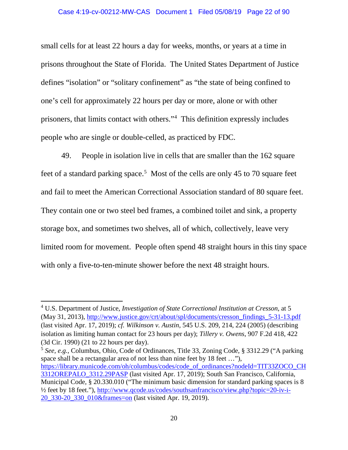small cells for at least 22 hours a day for weeks, months, or years at a time in prisons throughout the State of Florida. The United States Department of Justice defines "isolation" or "solitary confinement" as "the state of being confined to one's cell for approximately 22 hours per day or more, alone or with other prisoners, that limits contact with others."4 This definition expressly includes people who are single or double-celled, as practiced by FDC.

49. People in isolation live in cells that are smaller than the 162 square feet of a standard parking space.<sup>5</sup> Most of the cells are only 45 to 70 square feet and fail to meet the American Correctional Association standard of 80 square feet. They contain one or two steel bed frames, a combined toilet and sink, a property storage box, and sometimes two shelves, all of which, collectively, leave very limited room for movement. People often spend 48 straight hours in this tiny space with only a five-to-ten-minute shower before the next 48 straight hours.

l

<sup>5</sup> *See, e.g.,* Columbus, Ohio, Code of Ordinances, Title 33, Zoning Code, § 3312.29 ("A parking space shall be a rectangular area of not less than nine feet by 18 feet …"), https://library.municode.com/oh/columbus/codes/code\_of\_ordinances?nodeId=TIT33ZOCO\_CH 3312OREPALO\_3312.29PASP (last visited Apr. 17, 2019); South San Francisco, California, Municipal Code, § 20.330.010 ("The minimum basic dimension for standard parking spaces is 8 ½ feet by 18 feet."), http://www.qcode.us/codes/southsanfrancisco/view.php?topic=20-iv-i-20\_330-20\_330\_010&frames=on (last visited Apr. 19, 2019).

<sup>4</sup> U.S. Department of Justice, *Investigation of State Correctional Institution at Cresson*, at 5 (May 31, 2013), http://www.justice.gov/crt/about/spl/documents/cresson\_findings\_5-31-13.pdf (last visited Apr. 17, 2019); *cf. Wilkinson v. Austin*, 545 U.S. 209, 214, 224 (2005) (describing isolation as limiting human contact for 23 hours per day); *Tillery v. Owens*, 907 F.2d 418, 422 (3d Cir. 1990) (21 to 22 hours per day).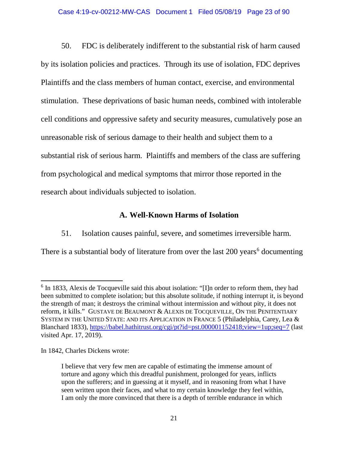### Case 4:19-cv-00212-MW-CAS Document 1 Filed 05/08/19 Page 23 of 90

50. FDC is deliberately indifferent to the substantial risk of harm caused by its isolation policies and practices. Through its use of isolation, FDC deprives Plaintiffs and the class members of human contact, exercise, and environmental stimulation. These deprivations of basic human needs, combined with intolerable cell conditions and oppressive safety and security measures, cumulatively pose an unreasonable risk of serious damage to their health and subject them to a substantial risk of serious harm. Plaintiffs and members of the class are suffering from psychological and medical symptoms that mirror those reported in the research about individuals subjected to isolation.

## **A. Well-Known Harms of Isolation**

51. Isolation causes painful, severe, and sometimes irreversible harm.

There is a substantial body of literature from over the last  $200$  years<sup>6</sup> documenting

In 1842, Charles Dickens wrote:

<sup>&</sup>lt;sup>6</sup> In 1833, Alexis de Tocqueville said this about isolation: "[I]n order to reform them, they had been submitted to complete isolation; but this absolute solitude, if nothing interrupt it, is beyond the strength of man; it destroys the criminal without intermission and without pity, it does not reform, it kills." GUSTAVE DE BEAUMONT & ALEXIS DE TOCQUEVILLE, ON THE PENITENTIARY SYSTEM IN THE UNITED STATE: AND ITS APPLICATION IN FRANCE 5 (Philadelphia, Carey, Lea & Blanchard 1833), https://babel.hathitrust.org/cgi/pt?id=pst.000001152418;view=1up;seq=7 (last visited Apr. 17, 2019).

I believe that very few men are capable of estimating the immense amount of torture and agony which this dreadful punishment, prolonged for years, inflicts upon the sufferers; and in guessing at it myself, and in reasoning from what I have seen written upon their faces, and what to my certain knowledge they feel within, I am only the more convinced that there is a depth of terrible endurance in which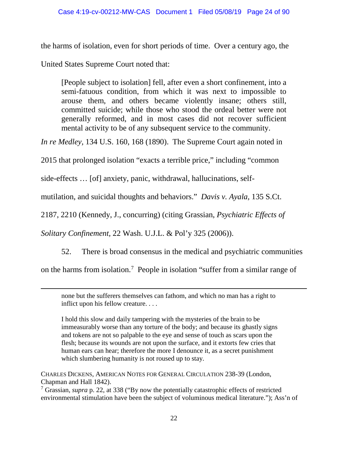the harms of isolation, even for short periods of time. Over a century ago, the

United States Supreme Court noted that:

[People subject to isolation] fell, after even a short confinement, into a semi-fatuous condition, from which it was next to impossible to arouse them, and others became violently insane; others still, committed suicide; while those who stood the ordeal better were not generally reformed, and in most cases did not recover sufficient mental activity to be of any subsequent service to the community.

*In re Medley,* 134 U.S. 160, 168 (1890). The Supreme Court again noted in

2015 that prolonged isolation "exacts a terrible price," including "common

side-effects … [of] anxiety, panic, withdrawal, hallucinations, self-

mutilation, and suicidal thoughts and behaviors." *Davis v. Ayala,* 135 S.Ct.

2187, 2210 (Kennedy, J., concurring) (citing Grassian, *Psychiatric Effects of* 

*Solitary Confinement,* 22 Wash. U.J.L. & Pol'y 325 (2006)).

 $\overline{a}$ 

52. There is broad consensus in the medical and psychiatric communities

on the harms from isolation.<sup>7</sup> People in isolation "suffer from a similar range of

none but the sufferers themselves can fathom, and which no man has a right to inflict upon his fellow creature. . . .

 I hold this slow and daily tampering with the mysteries of the brain to be immeasurably worse than any torture of the body; and because its ghastly signs and tokens are not so palpable to the eye and sense of touch as scars upon the flesh; because its wounds are not upon the surface, and it extorts few cries that human ears can hear; therefore the more I denounce it, as a secret punishment which slumbering humanity is not roused up to stay.

CHARLES DICKENS, AMERICAN NOTES FOR GENERAL CIRCULATION 238-39 (London, Chapman and Hall 1842).

<sup>7</sup> Grassian, *supra* p. 22, at 338 ("By now the potentially catastrophic effects of restricted environmental stimulation have been the subject of voluminous medical literature."); Ass'n of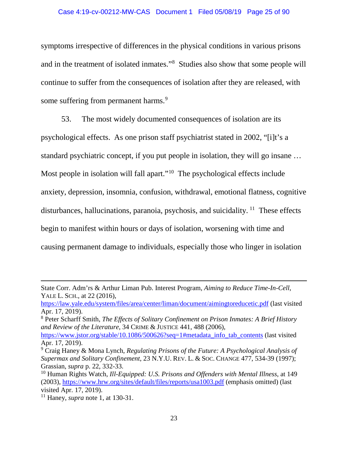### Case 4:19-cv-00212-MW-CAS Document 1 Filed 05/08/19 Page 25 of 90

symptoms irrespective of differences in the physical conditions in various prisons and in the treatment of isolated inmates."<sup>8</sup> Studies also show that some people will continue to suffer from the consequences of isolation after they are released, with some suffering from permanent harms.<sup>9</sup>

53. The most widely documented consequences of isolation are its psychological effects. As one prison staff psychiatrist stated in 2002, "[i]t's a standard psychiatric concept, if you put people in isolation, they will go insane … Most people in isolation will fall apart."<sup>10</sup> The psychological effects include anxiety, depression, insomnia, confusion, withdrawal, emotional flatness, cognitive disturbances, hallucinations, paranoia, psychosis, and suicidality.  $11$  These effects begin to manifest within hours or days of isolation, worsening with time and causing permanent damage to individuals, especially those who linger in isolation

State Corr. Adm'rs & Arthur Liman Pub. Interest Program, *Aiming to Reduce Time-In-Cell*, YALE L. SCH., at 22 (2016),

https://law.yale.edu/system/files/area/center/liman/document/aimingtoreducetic.pdf (last visited Apr. 17, 2019).

<sup>8</sup> Peter Scharff Smith, *The Effects of Solitary Confinement on Prison Inmates: A Brief History and Review of the Literature*, 34 CRIME & JUSTICE 441, 488 (2006),

https://www.jstor.org/stable/10.1086/500626?seq=1#metadata\_info\_tab\_contents (last visited Apr. 17, 2019).

<sup>9</sup> Craig Haney & Mona Lynch, *Regulating Prisons of the Future: A Psychological Analysis of Supermax and Solitary Confinement*, 23 N.Y.U. REV. L. & SOC. CHANGE 477, 534-39 (1997); Grassian, *supra* p. 22, 332-33.

<sup>10</sup> Human Rights Watch, *Ill-Equipped: U.S. Prisons and Offenders with Mental Illness*, at 149 (2003), https://www.hrw.org/sites/default/files/reports/usa1003.pdf (emphasis omitted) (last visited Apr. 17, 2019).

<sup>11</sup> Haney, *supra* note 1, at 130-31.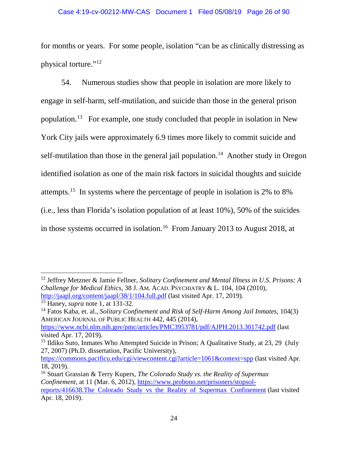### Case 4:19-cv-00212-MW-CAS Document 1 Filed 05/08/19 Page 26 of 90

for months or years. For some people, isolation "can be as clinically distressing as physical torture."12

54. Numerous studies show that people in isolation are more likely to engage in self-harm, self-mutilation, and suicide than those in the general prison population.13 For example, one study concluded that people in isolation in New York City jails were approximately 6.9 times more likely to commit suicide and self-mutilation than those in the general jail population.<sup>14</sup> Another study in Oregon identified isolation as one of the main risk factors in suicidal thoughts and suicide attempts.15 In systems where the percentage of people in isolation is 2% to 8% (i.e., less than Florida's isolation population of at least 10%), 50% of the suicides in those systems occurred in isolation.<sup>16</sup> From January 2013 to August 2018, at

<sup>12</sup> Jeffrey Metzner & Jamie Fellner, *Solitary Confinement and Mental Illness in U.S. Prisons: A Challenge for Medical Ethics*, 38 J. AM. ACAD. PSYCHIATRY & L. 104, 104 (2010), http://jaapl.org/content/jaapl/38/1/104.full.pdf (last visited Apr. 17, 2019).

<sup>13</sup> Haney, *supra* note 1, at 131-32.

<sup>14</sup> Fatos Kaba, et. al., *Solitary Confinement and Risk of Self-Harm Among Jail Inmates,* 104(3) AMERICAN JOURNAL OF PUBLIC HEALTH 442, 445 (2014),

https://www.ncbi.nlm.nih.gov/pmc/articles/PMC3953781/pdf/AJPH.2013.301742.pdf (last visited Apr. 17, 2019).

<sup>&</sup>lt;sup>15</sup> Ildiko Suto, Inmates Who Attempted Suicide in Prison; A Qualitative Study, at 23, 29 (July 27, 2007) (Ph.D. dissertation, Pacific University),

https://commons.pacificu.edu/cgi/viewcontent.cgi?article=1061&context=spp (last visited Apr. 18, 2019).

<sup>16</sup> Stuart Grassian & Terry Kupers, *The Colorado Study vs. the Reality of Supermax Confinement*, at 11 (Mar. 6, 2012), https://www.probono.net/prisoners/stopsolreports/416638.The Colorado Study vs the Reality of Supermax Confinement (last visited Apr. 18, 2019).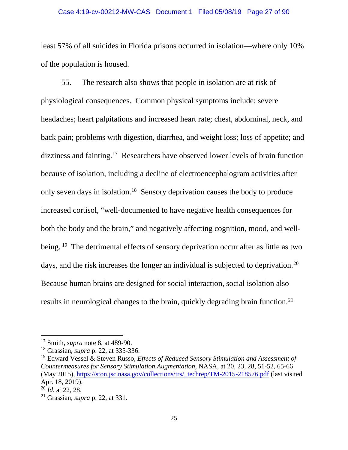### Case 4:19-cv-00212-MW-CAS Document 1 Filed 05/08/19 Page 27 of 90

least 57% of all suicides in Florida prisons occurred in isolation—where only 10% of the population is housed.

55. The research also shows that people in isolation are at risk of physiological consequences. Common physical symptoms include: severe headaches; heart palpitations and increased heart rate; chest, abdominal, neck, and back pain; problems with digestion, diarrhea, and weight loss; loss of appetite; and dizziness and fainting.17 Researchers have observed lower levels of brain function because of isolation, including a decline of electroencephalogram activities after only seven days in isolation.18 Sensory deprivation causes the body to produce increased cortisol, "well-documented to have negative health consequences for both the body and the brain," and negatively affecting cognition, mood, and wellbeing. <sup>19</sup> The detrimental effects of sensory deprivation occur after as little as two days, and the risk increases the longer an individual is subjected to deprivation.<sup>20</sup> Because human brains are designed for social interaction, social isolation also results in neurological changes to the brain, quickly degrading brain function.<sup>21</sup>

 $\overline{\phantom{a}}$ 

<sup>17</sup> Smith, *supra* note 8, at 489-90.

<sup>18</sup> Grassian, *supra* p. 22, at 335-336.

<sup>19</sup> Edward Vessel & Steven Russo, *Effects of Reduced Sensory Stimulation and Assessment of Countermeasures for Sensory Stimulation Augmentation*, NASA, at 20, 23, 28, 51-52, 65-66 (May 2015), https://ston.jsc.nasa.gov/collections/trs/\_techrep/TM-2015-218576.pdf (last visited Apr. 18, 2019).

 $^{20}$ *Id.* at 22, 28.

<sup>21</sup> Grassian, *supra* p. 22, at 331.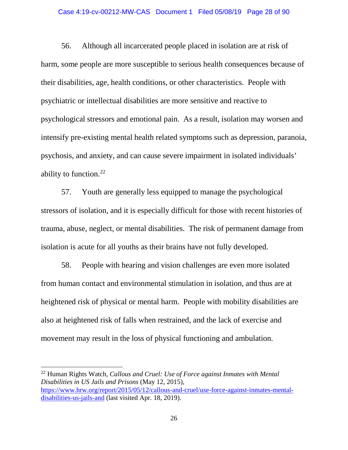#### Case 4:19-cv-00212-MW-CAS Document 1 Filed 05/08/19 Page 28 of 90

56. Although all incarcerated people placed in isolation are at risk of harm, some people are more susceptible to serious health consequences because of their disabilities, age, health conditions, or other characteristics. People with psychiatric or intellectual disabilities are more sensitive and reactive to psychological stressors and emotional pain. As a result, isolation may worsen and intensify pre-existing mental health related symptoms such as depression, paranoia, psychosis, and anxiety, and can cause severe impairment in isolated individuals' ability to function.<sup>22</sup>

57. Youth are generally less equipped to manage the psychological stressors of isolation, and it is especially difficult for those with recent histories of trauma, abuse, neglect, or mental disabilities. The risk of permanent damage from isolation is acute for all youths as their brains have not fully developed.

58. People with hearing and vision challenges are even more isolated from human contact and environmental stimulation in isolation, and thus are at heightened risk of physical or mental harm. People with mobility disabilities are also at heightened risk of falls when restrained, and the lack of exercise and movement may result in the loss of physical functioning and ambulation.

 $\overline{a}$ 

<sup>22</sup> Human Rights Watch, *Callous and Cruel: Use of Force against Inmates with Mental Disabilities in US Jails and Prisons* (May 12, 2015), https://www.hrw.org/report/2015/05/12/callous-and-cruel/use-force-against-inmates-mentaldisabilities-us-jails-and (last visited Apr. 18, 2019).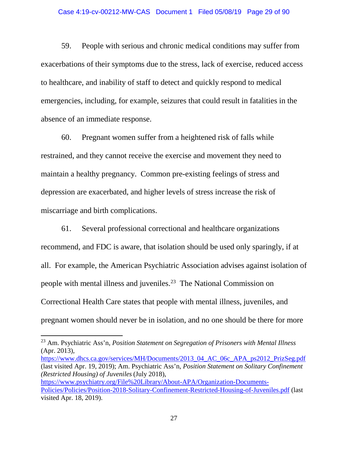### Case 4:19-cv-00212-MW-CAS Document 1 Filed 05/08/19 Page 29 of 90

59. People with serious and chronic medical conditions may suffer from exacerbations of their symptoms due to the stress, lack of exercise, reduced access to healthcare, and inability of staff to detect and quickly respond to medical emergencies, including, for example, seizures that could result in fatalities in the absence of an immediate response.

60. Pregnant women suffer from a heightened risk of falls while restrained, and they cannot receive the exercise and movement they need to maintain a healthy pregnancy. Common pre-existing feelings of stress and depression are exacerbated, and higher levels of stress increase the risk of miscarriage and birth complications.

61. Several professional correctional and healthcare organizations recommend, and FDC is aware, that isolation should be used only sparingly, if at all. For example, the American Psychiatric Association advises against isolation of people with mental illness and juveniles.23 The National Commission on Correctional Health Care states that people with mental illness, juveniles, and pregnant women should never be in isolation, and no one should be there for more

 $\overline{\phantom{a}}$ 

https://www.dhcs.ca.gov/services/MH/Documents/2013\_04\_AC\_06c\_APA\_ps2012\_PrizSeg.pdf (last visited Apr. 19, 2019); Am. Psychiatric Ass'n, *Position Statement on Solitary Confinement (Restricted Housing) of Juveniles* (July 2018), https://www.psychiatry.org/File%20Library/About-APA/Organization-Documents-Policies/Policies/Position-2018-Solitary-Confinement-Restricted-Housing-of-Juveniles.pdf (last visited Apr. 18, 2019).

<sup>23</sup> Am. Psychiatric Ass'n, *Position Statement on Segregation of Prisoners with Mental Illness*  (Apr. 2013),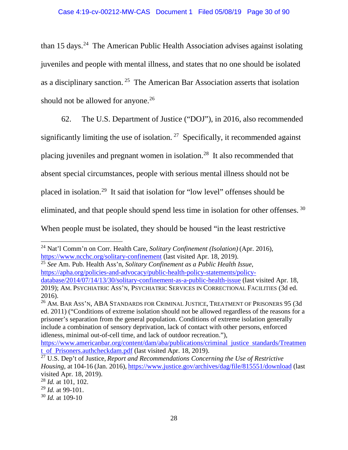than  $15$  days.<sup>24</sup> The American Public Health Association advises against isolating juveniles and people with mental illness, and states that no one should be isolated as a disciplinary sanction. 25 The American Bar Association asserts that isolation should not be allowed for anyone.<sup>26</sup>

62. The U.S. Department of Justice ("DOJ"), in 2016, also recommended significantly limiting the use of isolation.  $27$  Specifically, it recommended against placing juveniles and pregnant women in isolation.28 It also recommended that absent special circumstances, people with serious mental illness should not be placed in isolation.29 It said that isolation for "low level" offenses should be eliminated, and that people should spend less time in isolation for other offenses. 30 When people must be isolated, they should be housed "in the least restrictive

<sup>25</sup> *See* Am. Pub. Health Ass'n, *Solitary Confinement as a Public Health Issue*, https://apha.org/policies-and-advocacy/public-health-policy-statements/policydatabase/2014/07/14/13/30/solitary-confinement-as-a-public-health-issue (last visited Apr. 18, 2019); AM. PSYCHIATRIC ASS'N, PSYCHIATRIC SERVICES IN CORRECTIONAL FACILITIES (3d ed. 2016).

<sup>26</sup> AM. BAR ASS'N, ABA STANDARDS FOR CRIMINAL JUSTICE, TREATMENT OF PRISONERS 95 (3d ed. 2011) ("Conditions of extreme isolation should not be allowed regardless of the reasons for a prisoner's separation from the general population. Conditions of extreme isolation generally include a combination of sensory deprivation, lack of contact with other persons, enforced idleness, minimal out-of-cell time, and lack of outdoor recreation."),

<sup>24</sup> Nat'l Comm'n on Corr. Health Care, *Solitary Confinement (Isolation)* (Apr. 2016), https://www.ncchc.org/solitary-confinement (last visited Apr. 18, 2019).

https://www.americanbar.org/content/dam/aba/publications/criminal justice standards/Treatmen t of Prisoners.authcheckdam.pdf (last visited Apr. 18, 2019).

<sup>27</sup> U.S. Dep't of Justice, *Report and Recommendations Concerning the Use of Restrictive Housing*, at 104-16 (Jan. 2016), https://www.justice.gov/archives/dag/file/815551/download (last visited Apr. 18, 2019).

<sup>28</sup> *Id.* at 101, 102.

<sup>29</sup> *Id.* at 99-101.

<sup>30</sup> *Id.* at 109-10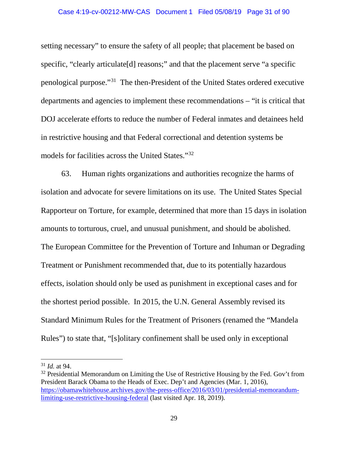#### Case 4:19-cv-00212-MW-CAS Document 1 Filed 05/08/19 Page 31 of 90

setting necessary" to ensure the safety of all people; that placement be based on specific, "clearly articulate<sup>[d]</sup> reasons;" and that the placement serve "a specific penological purpose."31 The then-President of the United States ordered executive departments and agencies to implement these recommendations – "it is critical that DOJ accelerate efforts to reduce the number of Federal inmates and detainees held in restrictive housing and that Federal correctional and detention systems be models for facilities across the United States."32

63. Human rights organizations and authorities recognize the harms of isolation and advocate for severe limitations on its use. The United States Special Rapporteur on Torture, for example, determined that more than 15 days in isolation amounts to torturous, cruel, and unusual punishment, and should be abolished. The European Committee for the Prevention of Torture and Inhuman or Degrading Treatment or Punishment recommended that, due to its potentially hazardous effects, isolation should only be used as punishment in exceptional cases and for the shortest period possible. In 2015, the U.N. General Assembly revised its Standard Minimum Rules for the Treatment of Prisoners (renamed the "Mandela Rules") to state that, "[s]olitary confinement shall be used only in exceptional

<sup>31</sup> *Id.* at 94.

 $32$  Presidential Memorandum on Limiting the Use of Restrictive Housing by the Fed. Gov't from President Barack Obama to the Heads of Exec. Dep't and Agencies (Mar. 1, 2016), https://obamawhitehouse.archives.gov/the-press-office/2016/03/01/presidential-memorandumlimiting-use-restrictive-housing-federal (last visited Apr. 18, 2019).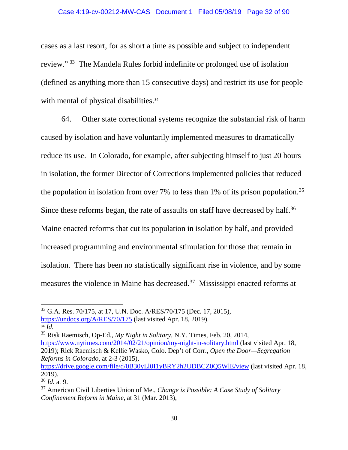#### Case 4:19-cv-00212-MW-CAS Document 1 Filed 05/08/19 Page 32 of 90

cases as a last resort, for as short a time as possible and subject to independent review." 33 The Mandela Rules forbid indefinite or prolonged use of isolation (defined as anything more than 15 consecutive days) and restrict its use for people with mental of physical disabilities.<sup>34</sup>

64. Other state correctional systems recognize the substantial risk of harm caused by isolation and have voluntarily implemented measures to dramatically reduce its use. In Colorado, for example, after subjecting himself to just 20 hours in isolation, the former Director of Corrections implemented policies that reduced the population in isolation from over 7% to less than 1% of its prison population.<sup>35</sup> Since these reforms began, the rate of assaults on staff have decreased by half.<sup>36</sup> Maine enacted reforms that cut its population in isolation by half, and provided increased programming and environmental stimulation for those that remain in isolation. There has been no statistically significant rise in violence, and by some measures the violence in Maine has decreased.37 Mississippi enacted reforms at

l

<sup>34</sup> *Id.* 35 Risk Raemisch, Op-Ed., *My Night in Solitary,* N.Y. Times, Feb. 20, 2014, https://www.nytimes.com/2014/02/21/opinion/my-night-in-solitary.html (last visited Apr. 18, 2019); Rick Raemisch & Kellie Wasko, Colo. Dep't of Corr., *Open the Door—Segregation Reforms in Colorado*, at 2-3 (2015),

<sup>33</sup> G.A. Res. 70/175, at 17, U.N. Doc. A/RES/70/175 (Dec. 17, 2015), https://undocs.org/A/RES/70/175 (last visited Apr. 18, 2019).<br><sup>34</sup> Id.

https://drive.google.com/file/d/0B30yLl0I1yBRY2h2UDBCZ0Q5WlE/view (last visited Apr. 18, 2019).

<sup>36</sup> *Id.* at 9.

<sup>37</sup> American Civil Liberties Union of Me., *Change is Possible: A Case Study of Solitary Confinement Reform in Maine*, at 31 (Mar. 2013),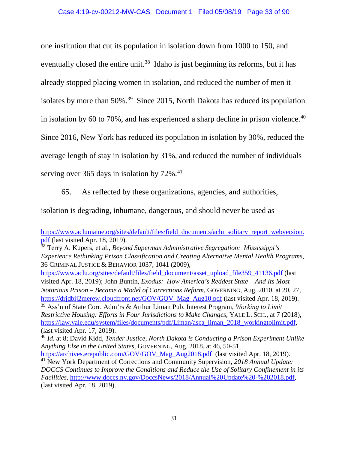one institution that cut its population in isolation down from 1000 to 150, and eventually closed the entire unit.<sup>38</sup> Idaho is just beginning its reforms, but it has already stopped placing women in isolation, and reduced the number of men it isolates by more than 50%.39 Since 2015, North Dakota has reduced its population in isolation by 60 to 70%, and has experienced a sharp decline in prison violence.<sup>40</sup> Since 2016, New York has reduced its population in isolation by 30%, reduced the average length of stay in isolation by 31%, and reduced the number of individuals serving over 365 days in isolation by  $72\%$ .<sup>41</sup>

65. As reflected by these organizations, agencies, and authorities,

isolation is degrading, inhumane, dangerous, and should never be used as

 $\overline{\phantom{a}}$ 

<sup>39</sup> Ass'n of State Corr. Adm'rs & Arthur Liman Pub. Interest Program, *Working to Limit Restrictive Housing: Efforts in Four Jurisdictions to Make Changes*, YALE L. SCH., at 7 (2018), https://law.yale.edu/system/files/documents/pdf/Liman/asca\_liman\_2018\_workingtolimit.pdf, (last visited Apr. 17, 2019).

https://www.aclumaine.org/sites/default/files/field documents/aclu solitary report webversion. pdf (last visited Apr. 18, 2019).

<sup>38</sup> Terry A. Kupers, et al., *Beyond Supermax Administrative Segregation: Mississippi's Experience Rethinking Prison Classification and Creating Alternative Mental Health Programs*, 36 CRIMINAL JUSTICE & BEHAVIOR 1037, 1041 (2009),

https://www.aclu.org/sites/default/files/field\_document/asset\_upload\_file359\_41136.pdf (last visited Apr. 18, 2019); John Buntin, *Exodus: How America's Reddest State – And Its Most Notorious Prison – Became a Model of Corrections Reform*, GOVERNING, Aug. 2010, at 20, 27, https://drjdbij2merew.cloudfront.net/GOV/GOV Mag Aug10.pdf (last visited Apr. 18, 2019).

<sup>40</sup> *Id.* at 8; David Kidd, *Tender Justice, North Dakota is Conducting a Prison Experiment Unlike Anything Else in the United States*, GOVERNING, Aug. 2018, at 46, 50-51,

https://archives.erepublic.com/GOV/GOV\_Mag\_Aug2018.pdf (last visited Apr. 18, 2019). 41 New York Department of Corrections and Community Supervision, *2018 Annual Update: DOCCS Continues to Improve the Conditions and Reduce the Use of Solitary Confinement in its Facilities*, http://www.doccs.ny.gov/DoccsNews/2018/Annual%20Update%20-%202018.pdf, (last visited Apr. 18, 2019).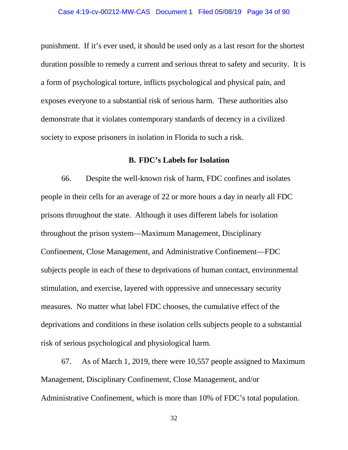punishment. If it's ever used, it should be used only as a last resort for the shortest duration possible to remedy a current and serious threat to safety and security. It is a form of psychological torture, inflicts psychological and physical pain, and exposes everyone to a substantial risk of serious harm. These authorities also demonstrate that it violates contemporary standards of decency in a civilized society to expose prisoners in isolation in Florida to such a risk.

### **B. FDC's Labels for Isolation**

66. Despite the well-known risk of harm, FDC confines and isolates people in their cells for an average of 22 or more hours a day in nearly all FDC prisons throughout the state. Although it uses different labels for isolation throughout the prison system—Maximum Management, Disciplinary Confinement, Close Management, and Administrative Confinement—FDC subjects people in each of these to deprivations of human contact, environmental stimulation, and exercise, layered with oppressive and unnecessary security measures. No matter what label FDC chooses, the cumulative effect of the deprivations and conditions in these isolation cells subjects people to a substantial risk of serious psychological and physiological harm.

67. As of March 1, 2019, there were 10,557 people assigned to Maximum Management, Disciplinary Confinement, Close Management, and/or Administrative Confinement, which is more than 10% of FDC's total population.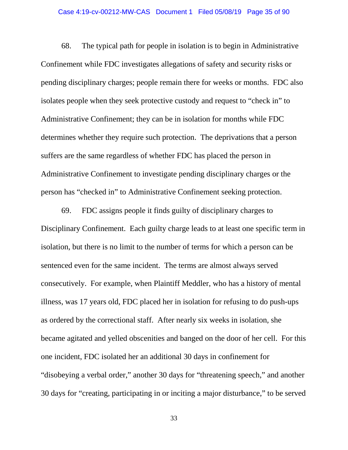#### Case 4:19-cv-00212-MW-CAS Document 1 Filed 05/08/19 Page 35 of 90

68. The typical path for people in isolation is to begin in Administrative Confinement while FDC investigates allegations of safety and security risks or pending disciplinary charges; people remain there for weeks or months. FDC also isolates people when they seek protective custody and request to "check in" to Administrative Confinement; they can be in isolation for months while FDC determines whether they require such protection. The deprivations that a person suffers are the same regardless of whether FDC has placed the person in Administrative Confinement to investigate pending disciplinary charges or the person has "checked in" to Administrative Confinement seeking protection.

69. FDC assigns people it finds guilty of disciplinary charges to Disciplinary Confinement. Each guilty charge leads to at least one specific term in isolation, but there is no limit to the number of terms for which a person can be sentenced even for the same incident. The terms are almost always served consecutively. For example, when Plaintiff Meddler, who has a history of mental illness, was 17 years old, FDC placed her in isolation for refusing to do push-ups as ordered by the correctional staff. After nearly six weeks in isolation, she became agitated and yelled obscenities and banged on the door of her cell. For this one incident, FDC isolated her an additional 30 days in confinement for "disobeying a verbal order," another 30 days for "threatening speech," and another 30 days for "creating, participating in or inciting a major disturbance," to be served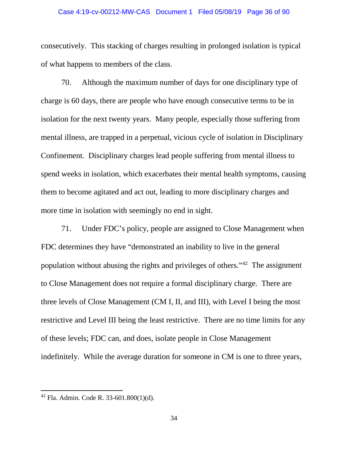## Case 4:19-cv-00212-MW-CAS Document 1 Filed 05/08/19 Page 36 of 90

consecutively. This stacking of charges resulting in prolonged isolation is typical of what happens to members of the class.

70. Although the maximum number of days for one disciplinary type of charge is 60 days, there are people who have enough consecutive terms to be in isolation for the next twenty years. Many people, especially those suffering from mental illness, are trapped in a perpetual, vicious cycle of isolation in Disciplinary Confinement. Disciplinary charges lead people suffering from mental illness to spend weeks in isolation, which exacerbates their mental health symptoms, causing them to become agitated and act out, leading to more disciplinary charges and more time in isolation with seemingly no end in sight.

71. Under FDC's policy, people are assigned to Close Management when FDC determines they have "demonstrated an inability to live in the general population without abusing the rights and privileges of others."42 The assignment to Close Management does not require a formal disciplinary charge. There are three levels of Close Management (CM I, II, and III), with Level I being the most restrictive and Level III being the least restrictive. There are no time limits for any of these levels; FDC can, and does, isolate people in Close Management indefinitely. While the average duration for someone in CM is one to three years,

<sup>42</sup> Fla. Admin. Code R. 33-601.800(1)(d).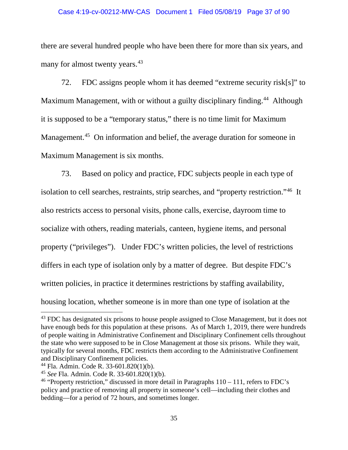#### Case 4:19-cv-00212-MW-CAS Document 1 Filed 05/08/19 Page 37 of 90

there are several hundred people who have been there for more than six years, and many for almost twenty years.<sup>43</sup>

72. FDC assigns people whom it has deemed "extreme security risk[s]" to Maximum Management, with or without a guilty disciplinary finding.<sup>44</sup> Although it is supposed to be a "temporary status," there is no time limit for Maximum Management.<sup>45</sup> On information and belief, the average duration for someone in Maximum Management is six months.

73. Based on policy and practice, FDC subjects people in each type of isolation to cell searches, restraints, strip searches, and "property restriction."46 It also restricts access to personal visits, phone calls, exercise, dayroom time to socialize with others, reading materials, canteen, hygiene items, and personal property ("privileges"). Under FDC's written policies, the level of restrictions differs in each type of isolation only by a matter of degree. But despite FDC's written policies, in practice it determines restrictions by staffing availability, housing location, whether someone is in more than one type of isolation at the

l

<sup>&</sup>lt;sup>43</sup> FDC has designated six prisons to house people assigned to Close Management, but it does not have enough beds for this population at these prisons. As of March 1, 2019, there were hundreds of people waiting in Administrative Confinement and Disciplinary Confinement cells throughout the state who were supposed to be in Close Management at those six prisons. While they wait, typically for several months, FDC restricts them according to the Administrative Confinement and Disciplinary Confinement policies.

 $^{44}$  Fla. Admin. Code R. 33-601.820(1)(b).

<sup>45</sup> *See* Fla. Admin. Code R. 33-601.820(1)(b).

<sup>&</sup>lt;sup>46</sup> "Property restriction," discussed in more detail in Paragraphs  $110 - 111$ , refers to FDC's policy and practice of removing all property in someone's cell—including their clothes and bedding—for a period of 72 hours, and sometimes longer.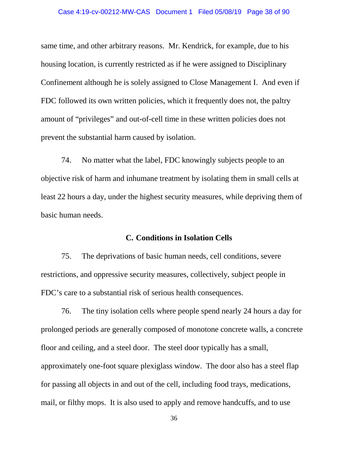same time, and other arbitrary reasons. Mr. Kendrick, for example, due to his housing location, is currently restricted as if he were assigned to Disciplinary Confinement although he is solely assigned to Close Management I. And even if FDC followed its own written policies, which it frequently does not, the paltry amount of "privileges" and out-of-cell time in these written policies does not prevent the substantial harm caused by isolation.

74. No matter what the label, FDC knowingly subjects people to an objective risk of harm and inhumane treatment by isolating them in small cells at least 22 hours a day, under the highest security measures, while depriving them of basic human needs.

### **C. Conditions in Isolation Cells**

75. The deprivations of basic human needs, cell conditions, severe restrictions, and oppressive security measures, collectively, subject people in FDC's care to a substantial risk of serious health consequences.

76. The tiny isolation cells where people spend nearly 24 hours a day for prolonged periods are generally composed of monotone concrete walls, a concrete floor and ceiling, and a steel door. The steel door typically has a small, approximately one-foot square plexiglass window. The door also has a steel flap for passing all objects in and out of the cell, including food trays, medications, mail, or filthy mops. It is also used to apply and remove handcuffs, and to use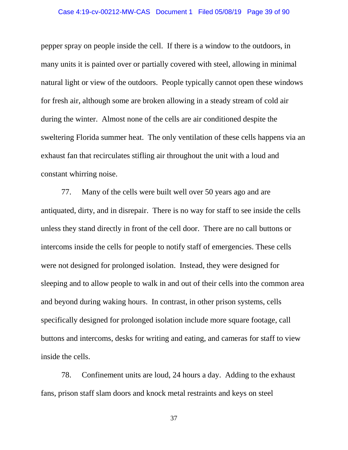#### Case 4:19-cv-00212-MW-CAS Document 1 Filed 05/08/19 Page 39 of 90

pepper spray on people inside the cell. If there is a window to the outdoors, in many units it is painted over or partially covered with steel, allowing in minimal natural light or view of the outdoors. People typically cannot open these windows for fresh air, although some are broken allowing in a steady stream of cold air during the winter. Almost none of the cells are air conditioned despite the sweltering Florida summer heat. The only ventilation of these cells happens via an exhaust fan that recirculates stifling air throughout the unit with a loud and constant whirring noise.

77. Many of the cells were built well over 50 years ago and are antiquated, dirty, and in disrepair. There is no way for staff to see inside the cells unless they stand directly in front of the cell door. There are no call buttons or intercoms inside the cells for people to notify staff of emergencies. These cells were not designed for prolonged isolation. Instead, they were designed for sleeping and to allow people to walk in and out of their cells into the common area and beyond during waking hours. In contrast, in other prison systems, cells specifically designed for prolonged isolation include more square footage, call buttons and intercoms, desks for writing and eating, and cameras for staff to view inside the cells.

78. Confinement units are loud, 24 hours a day. Adding to the exhaust fans, prison staff slam doors and knock metal restraints and keys on steel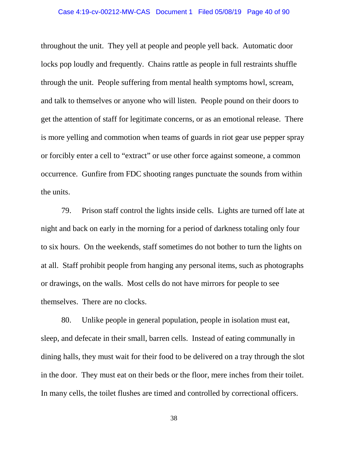throughout the unit. They yell at people and people yell back. Automatic door locks pop loudly and frequently. Chains rattle as people in full restraints shuffle through the unit. People suffering from mental health symptoms howl, scream, and talk to themselves or anyone who will listen. People pound on their doors to get the attention of staff for legitimate concerns, or as an emotional release. There is more yelling and commotion when teams of guards in riot gear use pepper spray or forcibly enter a cell to "extract" or use other force against someone, a common occurrence. Gunfire from FDC shooting ranges punctuate the sounds from within the units.

79. Prison staff control the lights inside cells. Lights are turned off late at night and back on early in the morning for a period of darkness totaling only four to six hours. On the weekends, staff sometimes do not bother to turn the lights on at all. Staff prohibit people from hanging any personal items, such as photographs or drawings, on the walls. Most cells do not have mirrors for people to see themselves. There are no clocks.

80. Unlike people in general population, people in isolation must eat, sleep, and defecate in their small, barren cells. Instead of eating communally in dining halls, they must wait for their food to be delivered on a tray through the slot in the door. They must eat on their beds or the floor, mere inches from their toilet. In many cells, the toilet flushes are timed and controlled by correctional officers.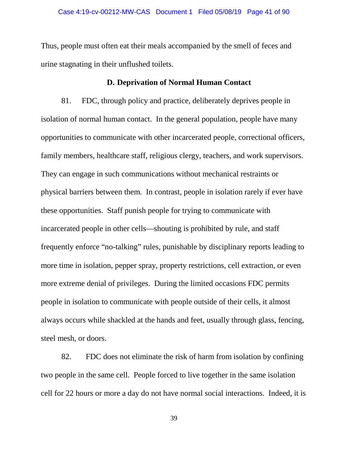Thus, people must often eat their meals accompanied by the smell of feces and urine stagnating in their unflushed toilets.

# **D. Deprivation of Normal Human Contact**

81. FDC, through policy and practice, deliberately deprives people in isolation of normal human contact. In the general population, people have many opportunities to communicate with other incarcerated people, correctional officers, family members, healthcare staff, religious clergy, teachers, and work supervisors. They can engage in such communications without mechanical restraints or physical barriers between them. In contrast, people in isolation rarely if ever have these opportunities. Staff punish people for trying to communicate with incarcerated people in other cells—shouting is prohibited by rule, and staff frequently enforce "no-talking" rules, punishable by disciplinary reports leading to more time in isolation, pepper spray, property restrictions, cell extraction, or even more extreme denial of privileges. During the limited occasions FDC permits people in isolation to communicate with people outside of their cells, it almost always occurs while shackled at the hands and feet, usually through glass, fencing, steel mesh, or doors.

82. FDC does not eliminate the risk of harm from isolation by confining two people in the same cell. People forced to live together in the same isolation cell for 22 hours or more a day do not have normal social interactions. Indeed, it is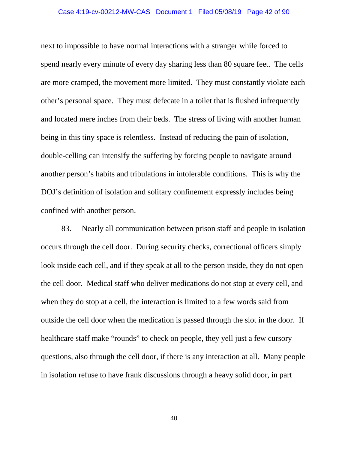# Case 4:19-cv-00212-MW-CAS Document 1 Filed 05/08/19 Page 42 of 90

next to impossible to have normal interactions with a stranger while forced to spend nearly every minute of every day sharing less than 80 square feet. The cells are more cramped, the movement more limited. They must constantly violate each other's personal space. They must defecate in a toilet that is flushed infrequently and located mere inches from their beds. The stress of living with another human being in this tiny space is relentless. Instead of reducing the pain of isolation, double-celling can intensify the suffering by forcing people to navigate around another person's habits and tribulations in intolerable conditions. This is why the DOJ's definition of isolation and solitary confinement expressly includes being confined with another person.

83. Nearly all communication between prison staff and people in isolation occurs through the cell door. During security checks, correctional officers simply look inside each cell, and if they speak at all to the person inside, they do not open the cell door. Medical staff who deliver medications do not stop at every cell, and when they do stop at a cell, the interaction is limited to a few words said from outside the cell door when the medication is passed through the slot in the door. If healthcare staff make "rounds" to check on people, they yell just a few cursory questions, also through the cell door, if there is any interaction at all. Many people in isolation refuse to have frank discussions through a heavy solid door, in part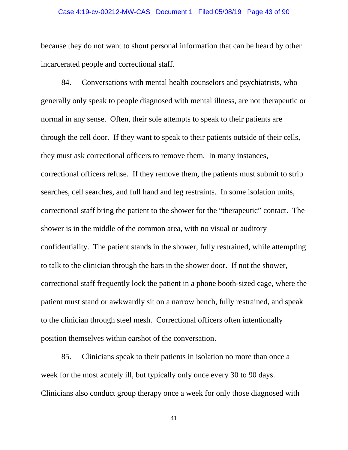# Case 4:19-cv-00212-MW-CAS Document 1 Filed 05/08/19 Page 43 of 90

because they do not want to shout personal information that can be heard by other incarcerated people and correctional staff.

84. Conversations with mental health counselors and psychiatrists, who generally only speak to people diagnosed with mental illness, are not therapeutic or normal in any sense. Often, their sole attempts to speak to their patients are through the cell door. If they want to speak to their patients outside of their cells, they must ask correctional officers to remove them. In many instances, correctional officers refuse. If they remove them, the patients must submit to strip searches, cell searches, and full hand and leg restraints. In some isolation units, correctional staff bring the patient to the shower for the "therapeutic" contact. The shower is in the middle of the common area, with no visual or auditory confidentiality. The patient stands in the shower, fully restrained, while attempting to talk to the clinician through the bars in the shower door. If not the shower, correctional staff frequently lock the patient in a phone booth-sized cage, where the patient must stand or awkwardly sit on a narrow bench, fully restrained, and speak to the clinician through steel mesh. Correctional officers often intentionally position themselves within earshot of the conversation.

85. Clinicians speak to their patients in isolation no more than once a week for the most acutely ill, but typically only once every 30 to 90 days. Clinicians also conduct group therapy once a week for only those diagnosed with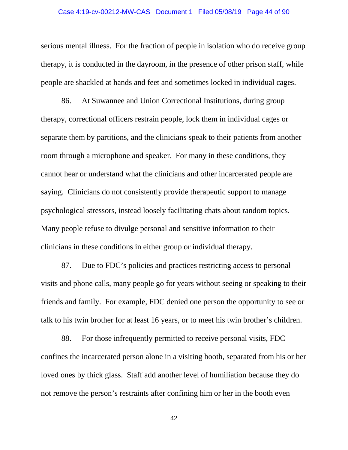# Case 4:19-cv-00212-MW-CAS Document 1 Filed 05/08/19 Page 44 of 90

serious mental illness. For the fraction of people in isolation who do receive group therapy, it is conducted in the dayroom, in the presence of other prison staff, while people are shackled at hands and feet and sometimes locked in individual cages.

86. At Suwannee and Union Correctional Institutions, during group therapy, correctional officers restrain people, lock them in individual cages or separate them by partitions, and the clinicians speak to their patients from another room through a microphone and speaker. For many in these conditions, they cannot hear or understand what the clinicians and other incarcerated people are saying. Clinicians do not consistently provide therapeutic support to manage psychological stressors, instead loosely facilitating chats about random topics. Many people refuse to divulge personal and sensitive information to their clinicians in these conditions in either group or individual therapy.

87. Due to FDC's policies and practices restricting access to personal visits and phone calls, many people go for years without seeing or speaking to their friends and family. For example, FDC denied one person the opportunity to see or talk to his twin brother for at least 16 years, or to meet his twin brother's children.

88. For those infrequently permitted to receive personal visits, FDC confines the incarcerated person alone in a visiting booth, separated from his or her loved ones by thick glass. Staff add another level of humiliation because they do not remove the person's restraints after confining him or her in the booth even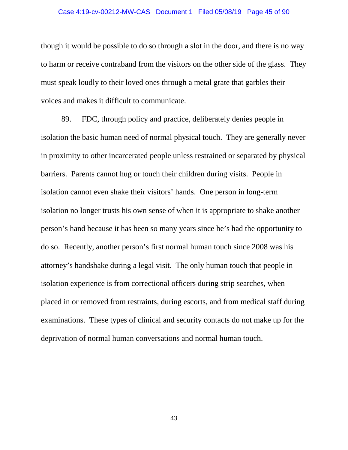# Case 4:19-cv-00212-MW-CAS Document 1 Filed 05/08/19 Page 45 of 90

though it would be possible to do so through a slot in the door, and there is no way to harm or receive contraband from the visitors on the other side of the glass. They must speak loudly to their loved ones through a metal grate that garbles their voices and makes it difficult to communicate.

89. FDC, through policy and practice, deliberately denies people in isolation the basic human need of normal physical touch. They are generally never in proximity to other incarcerated people unless restrained or separated by physical barriers. Parents cannot hug or touch their children during visits. People in isolation cannot even shake their visitors' hands. One person in long-term isolation no longer trusts his own sense of when it is appropriate to shake another person's hand because it has been so many years since he's had the opportunity to do so. Recently, another person's first normal human touch since 2008 was his attorney's handshake during a legal visit. The only human touch that people in isolation experience is from correctional officers during strip searches, when placed in or removed from restraints, during escorts, and from medical staff during examinations. These types of clinical and security contacts do not make up for the deprivation of normal human conversations and normal human touch.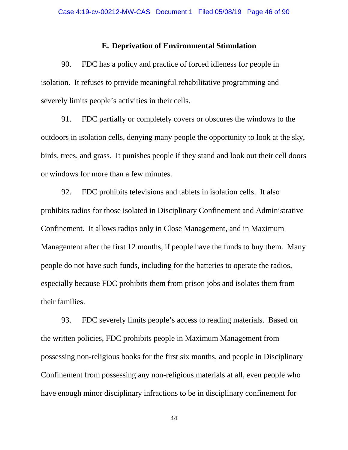### **E. Deprivation of Environmental Stimulation**

90. FDC has a policy and practice of forced idleness for people in isolation. It refuses to provide meaningful rehabilitative programming and severely limits people's activities in their cells.

91. FDC partially or completely covers or obscures the windows to the outdoors in isolation cells, denying many people the opportunity to look at the sky, birds, trees, and grass. It punishes people if they stand and look out their cell doors or windows for more than a few minutes.

92. FDC prohibits televisions and tablets in isolation cells. It also prohibits radios for those isolated in Disciplinary Confinement and Administrative Confinement. It allows radios only in Close Management, and in Maximum Management after the first 12 months, if people have the funds to buy them. Many people do not have such funds, including for the batteries to operate the radios, especially because FDC prohibits them from prison jobs and isolates them from their families.

93. FDC severely limits people's access to reading materials. Based on the written policies, FDC prohibits people in Maximum Management from possessing non-religious books for the first six months, and people in Disciplinary Confinement from possessing any non-religious materials at all, even people who have enough minor disciplinary infractions to be in disciplinary confinement for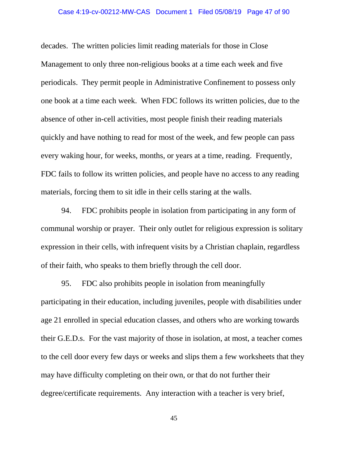# Case 4:19-cv-00212-MW-CAS Document 1 Filed 05/08/19 Page 47 of 90

decades. The written policies limit reading materials for those in Close Management to only three non-religious books at a time each week and five periodicals. They permit people in Administrative Confinement to possess only one book at a time each week. When FDC follows its written policies, due to the absence of other in-cell activities, most people finish their reading materials quickly and have nothing to read for most of the week, and few people can pass every waking hour, for weeks, months, or years at a time, reading. Frequently, FDC fails to follow its written policies, and people have no access to any reading materials, forcing them to sit idle in their cells staring at the walls.

94. FDC prohibits people in isolation from participating in any form of communal worship or prayer. Their only outlet for religious expression is solitary expression in their cells, with infrequent visits by a Christian chaplain, regardless of their faith, who speaks to them briefly through the cell door.

95. FDC also prohibits people in isolation from meaningfully participating in their education, including juveniles, people with disabilities under age 21 enrolled in special education classes, and others who are working towards their G.E.D.s. For the vast majority of those in isolation, at most, a teacher comes to the cell door every few days or weeks and slips them a few worksheets that they may have difficulty completing on their own, or that do not further their degree/certificate requirements. Any interaction with a teacher is very brief,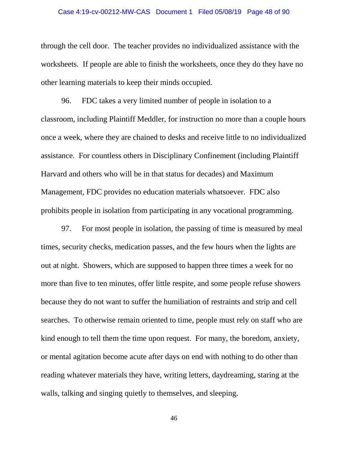# Case 4:19-cv-00212-MW-CAS Document 1 Filed 05/08/19 Page 48 of 90

through the cell door. The teacher provides no individualized assistance with the worksheets. If people are able to finish the worksheets, once they do they have no other learning materials to keep their minds occupied.

96. FDC takes a very limited number of people in isolation to a classroom, including Plaintiff Meddler, for instruction no more than a couple hours once a week, where they are chained to desks and receive little to no individualized assistance. For countless others in Disciplinary Confinement (including Plaintiff Harvard and others who will be in that status for decades) and Maximum Management, FDC provides no education materials whatsoever. FDC also prohibits people in isolation from participating in any vocational programming.

97. For most people in isolation, the passing of time is measured by meal times, security checks, medication passes, and the few hours when the lights are out at night. Showers, which are supposed to happen three times a week for no more than five to ten minutes, offer little respite, and some people refuse showers because they do not want to suffer the humiliation of restraints and strip and cell searches. To otherwise remain oriented to time, people must rely on staff who are kind enough to tell them the time upon request. For many, the boredom, anxiety, or mental agitation become acute after days on end with nothing to do other than reading whatever materials they have, writing letters, daydreaming, staring at the walls, talking and singing quietly to themselves, and sleeping.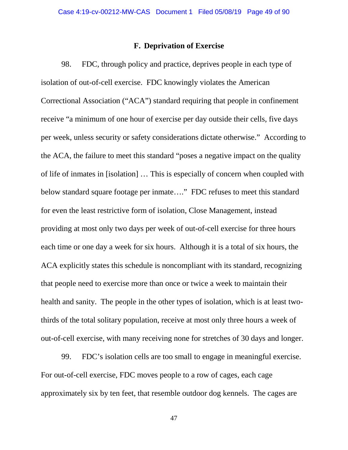### **F. Deprivation of Exercise**

98. FDC, through policy and practice, deprives people in each type of isolation of out-of-cell exercise. FDC knowingly violates the American Correctional Association ("ACA") standard requiring that people in confinement receive "a minimum of one hour of exercise per day outside their cells, five days per week, unless security or safety considerations dictate otherwise." According to the ACA, the failure to meet this standard "poses a negative impact on the quality of life of inmates in [isolation] … This is especially of concern when coupled with below standard square footage per inmate…." FDC refuses to meet this standard for even the least restrictive form of isolation, Close Management, instead providing at most only two days per week of out-of-cell exercise for three hours each time or one day a week for six hours. Although it is a total of six hours, the ACA explicitly states this schedule is noncompliant with its standard, recognizing that people need to exercise more than once or twice a week to maintain their health and sanity. The people in the other types of isolation, which is at least twothirds of the total solitary population, receive at most only three hours a week of out-of-cell exercise, with many receiving none for stretches of 30 days and longer.

99. FDC's isolation cells are too small to engage in meaningful exercise. For out-of-cell exercise, FDC moves people to a row of cages, each cage approximately six by ten feet, that resemble outdoor dog kennels. The cages are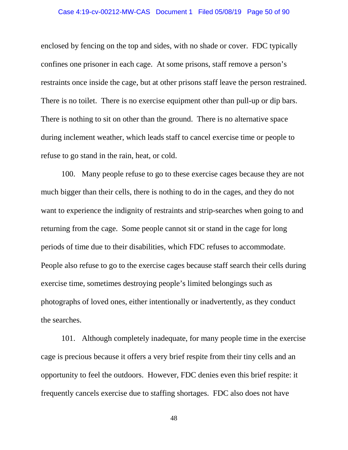### Case 4:19-cv-00212-MW-CAS Document 1 Filed 05/08/19 Page 50 of 90

enclosed by fencing on the top and sides, with no shade or cover. FDC typically confines one prisoner in each cage. At some prisons, staff remove a person's restraints once inside the cage, but at other prisons staff leave the person restrained. There is no toilet. There is no exercise equipment other than pull-up or dip bars. There is nothing to sit on other than the ground. There is no alternative space during inclement weather, which leads staff to cancel exercise time or people to refuse to go stand in the rain, heat, or cold.

100. Many people refuse to go to these exercise cages because they are not much bigger than their cells, there is nothing to do in the cages, and they do not want to experience the indignity of restraints and strip-searches when going to and returning from the cage. Some people cannot sit or stand in the cage for long periods of time due to their disabilities, which FDC refuses to accommodate. People also refuse to go to the exercise cages because staff search their cells during exercise time, sometimes destroying people's limited belongings such as photographs of loved ones, either intentionally or inadvertently, as they conduct the searches.

101. Although completely inadequate, for many people time in the exercise cage is precious because it offers a very brief respite from their tiny cells and an opportunity to feel the outdoors. However, FDC denies even this brief respite: it frequently cancels exercise due to staffing shortages. FDC also does not have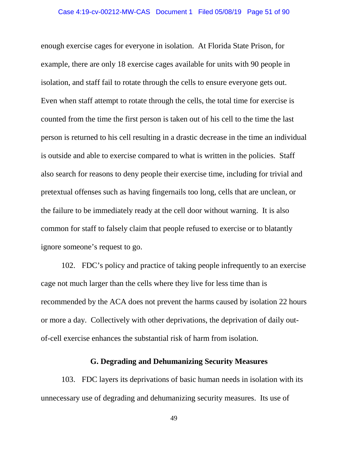enough exercise cages for everyone in isolation. At Florida State Prison, for example, there are only 18 exercise cages available for units with 90 people in isolation, and staff fail to rotate through the cells to ensure everyone gets out. Even when staff attempt to rotate through the cells, the total time for exercise is counted from the time the first person is taken out of his cell to the time the last person is returned to his cell resulting in a drastic decrease in the time an individual is outside and able to exercise compared to what is written in the policies. Staff also search for reasons to deny people their exercise time, including for trivial and pretextual offenses such as having fingernails too long, cells that are unclean, or the failure to be immediately ready at the cell door without warning. It is also common for staff to falsely claim that people refused to exercise or to blatantly ignore someone's request to go.

102. FDC's policy and practice of taking people infrequently to an exercise cage not much larger than the cells where they live for less time than is recommended by the ACA does not prevent the harms caused by isolation 22 hours or more a day. Collectively with other deprivations, the deprivation of daily outof-cell exercise enhances the substantial risk of harm from isolation.

### **G. Degrading and Dehumanizing Security Measures**

103. FDC layers its deprivations of basic human needs in isolation with its unnecessary use of degrading and dehumanizing security measures. Its use of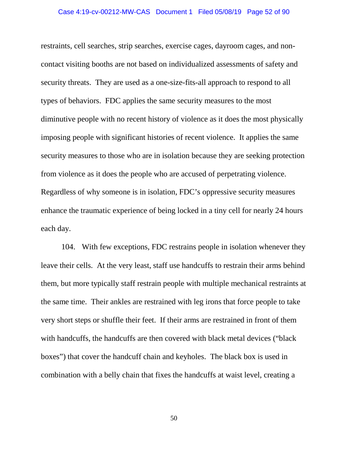# Case 4:19-cv-00212-MW-CAS Document 1 Filed 05/08/19 Page 52 of 90

restraints, cell searches, strip searches, exercise cages, dayroom cages, and noncontact visiting booths are not based on individualized assessments of safety and security threats. They are used as a one-size-fits-all approach to respond to all types of behaviors. FDC applies the same security measures to the most diminutive people with no recent history of violence as it does the most physically imposing people with significant histories of recent violence. It applies the same security measures to those who are in isolation because they are seeking protection from violence as it does the people who are accused of perpetrating violence. Regardless of why someone is in isolation, FDC's oppressive security measures enhance the traumatic experience of being locked in a tiny cell for nearly 24 hours each day.

104. With few exceptions, FDC restrains people in isolation whenever they leave their cells. At the very least, staff use handcuffs to restrain their arms behind them, but more typically staff restrain people with multiple mechanical restraints at the same time. Their ankles are restrained with leg irons that force people to take very short steps or shuffle their feet. If their arms are restrained in front of them with handcuffs, the handcuffs are then covered with black metal devices ("black" boxes") that cover the handcuff chain and keyholes. The black box is used in combination with a belly chain that fixes the handcuffs at waist level, creating a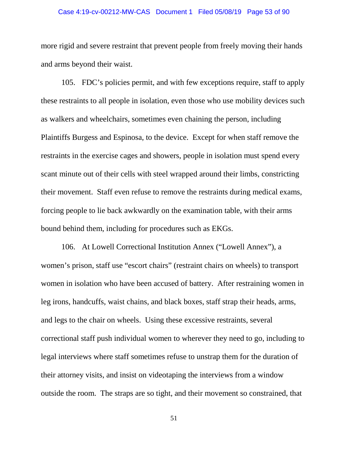# Case 4:19-cv-00212-MW-CAS Document 1 Filed 05/08/19 Page 53 of 90

more rigid and severe restraint that prevent people from freely moving their hands and arms beyond their waist.

105. FDC's policies permit, and with few exceptions require, staff to apply these restraints to all people in isolation, even those who use mobility devices such as walkers and wheelchairs, sometimes even chaining the person, including Plaintiffs Burgess and Espinosa, to the device. Except for when staff remove the restraints in the exercise cages and showers, people in isolation must spend every scant minute out of their cells with steel wrapped around their limbs, constricting their movement. Staff even refuse to remove the restraints during medical exams, forcing people to lie back awkwardly on the examination table, with their arms bound behind them, including for procedures such as EKGs.

106. At Lowell Correctional Institution Annex ("Lowell Annex"), a women's prison, staff use "escort chairs" (restraint chairs on wheels) to transport women in isolation who have been accused of battery. After restraining women in leg irons, handcuffs, waist chains, and black boxes, staff strap their heads, arms, and legs to the chair on wheels. Using these excessive restraints, several correctional staff push individual women to wherever they need to go, including to legal interviews where staff sometimes refuse to unstrap them for the duration of their attorney visits, and insist on videotaping the interviews from a window outside the room. The straps are so tight, and their movement so constrained, that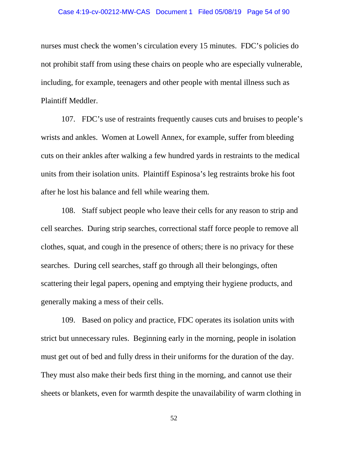# Case 4:19-cv-00212-MW-CAS Document 1 Filed 05/08/19 Page 54 of 90

nurses must check the women's circulation every 15 minutes. FDC's policies do not prohibit staff from using these chairs on people who are especially vulnerable, including, for example, teenagers and other people with mental illness such as Plaintiff Meddler.

107. FDC's use of restraints frequently causes cuts and bruises to people's wrists and ankles. Women at Lowell Annex, for example, suffer from bleeding cuts on their ankles after walking a few hundred yards in restraints to the medical units from their isolation units. Plaintiff Espinosa's leg restraints broke his foot after he lost his balance and fell while wearing them.

108. Staff subject people who leave their cells for any reason to strip and cell searches. During strip searches, correctional staff force people to remove all clothes, squat, and cough in the presence of others; there is no privacy for these searches. During cell searches, staff go through all their belongings, often scattering their legal papers, opening and emptying their hygiene products, and generally making a mess of their cells.

109. Based on policy and practice, FDC operates its isolation units with strict but unnecessary rules. Beginning early in the morning, people in isolation must get out of bed and fully dress in their uniforms for the duration of the day. They must also make their beds first thing in the morning, and cannot use their sheets or blankets, even for warmth despite the unavailability of warm clothing in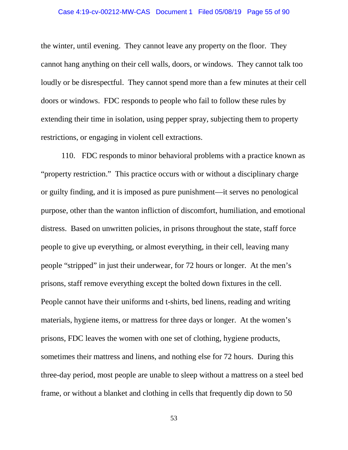### Case 4:19-cv-00212-MW-CAS Document 1 Filed 05/08/19 Page 55 of 90

the winter, until evening. They cannot leave any property on the floor. They cannot hang anything on their cell walls, doors, or windows. They cannot talk too loudly or be disrespectful. They cannot spend more than a few minutes at their cell doors or windows. FDC responds to people who fail to follow these rules by extending their time in isolation, using pepper spray, subjecting them to property restrictions, or engaging in violent cell extractions.

110. FDC responds to minor behavioral problems with a practice known as "property restriction." This practice occurs with or without a disciplinary charge or guilty finding, and it is imposed as pure punishment—it serves no penological purpose, other than the wanton infliction of discomfort, humiliation, and emotional distress. Based on unwritten policies, in prisons throughout the state, staff force people to give up everything, or almost everything, in their cell, leaving many people "stripped" in just their underwear, for 72 hours or longer. At the men's prisons, staff remove everything except the bolted down fixtures in the cell. People cannot have their uniforms and t-shirts, bed linens, reading and writing materials, hygiene items, or mattress for three days or longer. At the women's prisons, FDC leaves the women with one set of clothing, hygiene products, sometimes their mattress and linens, and nothing else for 72 hours. During this three-day period, most people are unable to sleep without a mattress on a steel bed frame, or without a blanket and clothing in cells that frequently dip down to 50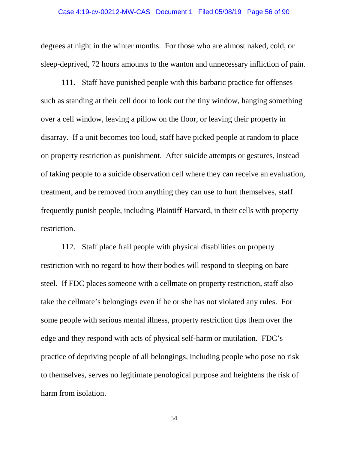### Case 4:19-cv-00212-MW-CAS Document 1 Filed 05/08/19 Page 56 of 90

degrees at night in the winter months. For those who are almost naked, cold, or sleep-deprived, 72 hours amounts to the wanton and unnecessary infliction of pain.

111. Staff have punished people with this barbaric practice for offenses such as standing at their cell door to look out the tiny window, hanging something over a cell window, leaving a pillow on the floor, or leaving their property in disarray. If a unit becomes too loud, staff have picked people at random to place on property restriction as punishment. After suicide attempts or gestures, instead of taking people to a suicide observation cell where they can receive an evaluation, treatment, and be removed from anything they can use to hurt themselves, staff frequently punish people, including Plaintiff Harvard, in their cells with property restriction.

112. Staff place frail people with physical disabilities on property restriction with no regard to how their bodies will respond to sleeping on bare steel. If FDC places someone with a cellmate on property restriction, staff also take the cellmate's belongings even if he or she has not violated any rules. For some people with serious mental illness, property restriction tips them over the edge and they respond with acts of physical self-harm or mutilation. FDC's practice of depriving people of all belongings, including people who pose no risk to themselves, serves no legitimate penological purpose and heightens the risk of harm from isolation.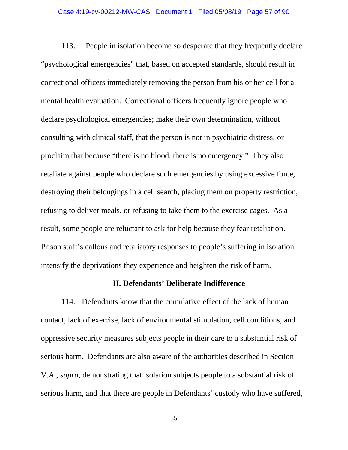# Case 4:19-cv-00212-MW-CAS Document 1 Filed 05/08/19 Page 57 of 90

113. People in isolation become so desperate that they frequently declare "psychological emergencies" that, based on accepted standards, should result in correctional officers immediately removing the person from his or her cell for a mental health evaluation. Correctional officers frequently ignore people who declare psychological emergencies; make their own determination, without consulting with clinical staff, that the person is not in psychiatric distress; or proclaim that because "there is no blood, there is no emergency." They also retaliate against people who declare such emergencies by using excessive force, destroying their belongings in a cell search, placing them on property restriction, refusing to deliver meals, or refusing to take them to the exercise cages. As a result, some people are reluctant to ask for help because they fear retaliation. Prison staff's callous and retaliatory responses to people's suffering in isolation intensify the deprivations they experience and heighten the risk of harm.

### **H. Defendants' Deliberate Indifference**

114. Defendants know that the cumulative effect of the lack of human contact, lack of exercise, lack of environmental stimulation, cell conditions, and oppressive security measures subjects people in their care to a substantial risk of serious harm. Defendants are also aware of the authorities described in Section V.A., *supra*, demonstrating that isolation subjects people to a substantial risk of serious harm, and that there are people in Defendants' custody who have suffered,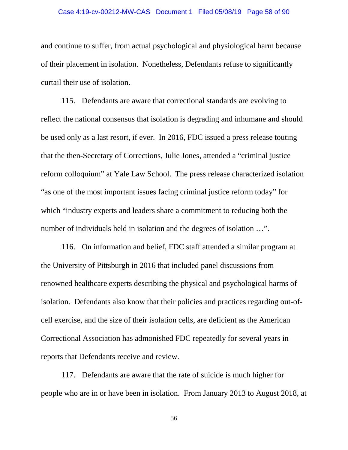### Case 4:19-cv-00212-MW-CAS Document 1 Filed 05/08/19 Page 58 of 90

and continue to suffer, from actual psychological and physiological harm because of their placement in isolation. Nonetheless, Defendants refuse to significantly curtail their use of isolation.

115. Defendants are aware that correctional standards are evolving to reflect the national consensus that isolation is degrading and inhumane and should be used only as a last resort, if ever. In 2016, FDC issued a press release touting that the then-Secretary of Corrections, Julie Jones, attended a "criminal justice reform colloquium" at Yale Law School. The press release characterized isolation "as one of the most important issues facing criminal justice reform today" for which "industry experts and leaders share a commitment to reducing both the number of individuals held in isolation and the degrees of isolation …".

116. On information and belief, FDC staff attended a similar program at the University of Pittsburgh in 2016 that included panel discussions from renowned healthcare experts describing the physical and psychological harms of isolation. Defendants also know that their policies and practices regarding out-ofcell exercise, and the size of their isolation cells, are deficient as the American Correctional Association has admonished FDC repeatedly for several years in reports that Defendants receive and review.

117. Defendants are aware that the rate of suicide is much higher for people who are in or have been in isolation. From January 2013 to August 2018, at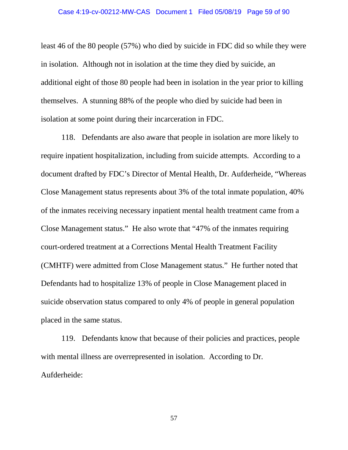least 46 of the 80 people (57%) who died by suicide in FDC did so while they were in isolation. Although not in isolation at the time they died by suicide, an additional eight of those 80 people had been in isolation in the year prior to killing themselves. A stunning 88% of the people who died by suicide had been in isolation at some point during their incarceration in FDC.

118. Defendants are also aware that people in isolation are more likely to require inpatient hospitalization, including from suicide attempts. According to a document drafted by FDC's Director of Mental Health, Dr. Aufderheide, "Whereas Close Management status represents about 3% of the total inmate population, 40% of the inmates receiving necessary inpatient mental health treatment came from a Close Management status." He also wrote that "47% of the inmates requiring court-ordered treatment at a Corrections Mental Health Treatment Facility (CMHTF) were admitted from Close Management status." He further noted that Defendants had to hospitalize 13% of people in Close Management placed in suicide observation status compared to only 4% of people in general population placed in the same status.

119. Defendants know that because of their policies and practices, people with mental illness are overrepresented in isolation. According to Dr. Aufderheide: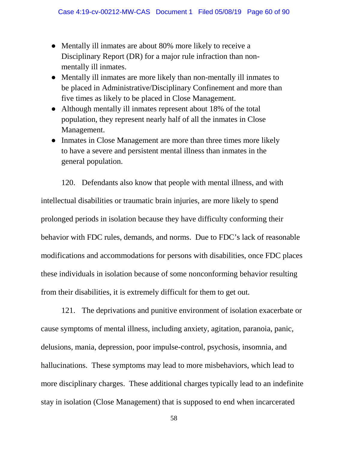- Mentally ill inmates are about 80% more likely to receive a Disciplinary Report (DR) for a major rule infraction than nonmentally ill inmates.
- Mentally ill inmates are more likely than non-mentally ill inmates to be placed in Administrative/Disciplinary Confinement and more than five times as likely to be placed in Close Management.
- Although mentally ill inmates represent about 18% of the total population, they represent nearly half of all the inmates in Close Management.
- Inmates in Close Management are more than three times more likely to have a severe and persistent mental illness than inmates in the general population.

120. Defendants also know that people with mental illness, and with intellectual disabilities or traumatic brain injuries, are more likely to spend prolonged periods in isolation because they have difficulty conforming their behavior with FDC rules, demands, and norms. Due to FDC's lack of reasonable modifications and accommodations for persons with disabilities, once FDC places these individuals in isolation because of some nonconforming behavior resulting from their disabilities, it is extremely difficult for them to get out.

121. The deprivations and punitive environment of isolation exacerbate or cause symptoms of mental illness, including anxiety, agitation, paranoia, panic, delusions, mania, depression, poor impulse-control, psychosis, insomnia, and hallucinations. These symptoms may lead to more misbehaviors, which lead to more disciplinary charges. These additional charges typically lead to an indefinite stay in isolation (Close Management) that is supposed to end when incarcerated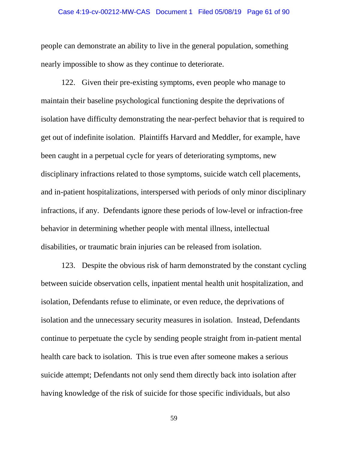#### Case 4:19-cv-00212-MW-CAS Document 1 Filed 05/08/19 Page 61 of 90

people can demonstrate an ability to live in the general population, something nearly impossible to show as they continue to deteriorate.

122. Given their pre-existing symptoms, even people who manage to maintain their baseline psychological functioning despite the deprivations of isolation have difficulty demonstrating the near-perfect behavior that is required to get out of indefinite isolation. Plaintiffs Harvard and Meddler, for example, have been caught in a perpetual cycle for years of deteriorating symptoms, new disciplinary infractions related to those symptoms, suicide watch cell placements, and in-patient hospitalizations, interspersed with periods of only minor disciplinary infractions, if any. Defendants ignore these periods of low-level or infraction-free behavior in determining whether people with mental illness, intellectual disabilities, or traumatic brain injuries can be released from isolation.

123. Despite the obvious risk of harm demonstrated by the constant cycling between suicide observation cells, inpatient mental health unit hospitalization, and isolation, Defendants refuse to eliminate, or even reduce, the deprivations of isolation and the unnecessary security measures in isolation. Instead, Defendants continue to perpetuate the cycle by sending people straight from in-patient mental health care back to isolation. This is true even after someone makes a serious suicide attempt; Defendants not only send them directly back into isolation after having knowledge of the risk of suicide for those specific individuals, but also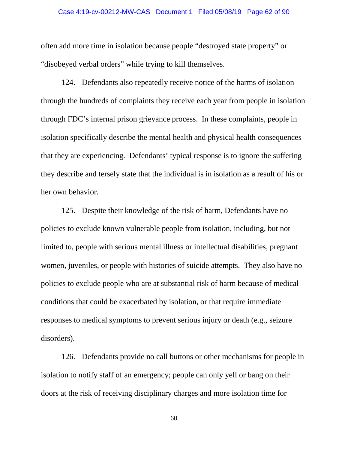# Case 4:19-cv-00212-MW-CAS Document 1 Filed 05/08/19 Page 62 of 90

often add more time in isolation because people "destroyed state property" or "disobeyed verbal orders" while trying to kill themselves.

124. Defendants also repeatedly receive notice of the harms of isolation through the hundreds of complaints they receive each year from people in isolation through FDC's internal prison grievance process. In these complaints, people in isolation specifically describe the mental health and physical health consequences that they are experiencing. Defendants' typical response is to ignore the suffering they describe and tersely state that the individual is in isolation as a result of his or her own behavior.

125. Despite their knowledge of the risk of harm, Defendants have no policies to exclude known vulnerable people from isolation, including, but not limited to, people with serious mental illness or intellectual disabilities, pregnant women, juveniles, or people with histories of suicide attempts. They also have no policies to exclude people who are at substantial risk of harm because of medical conditions that could be exacerbated by isolation, or that require immediate responses to medical symptoms to prevent serious injury or death (e.g., seizure disorders).

126. Defendants provide no call buttons or other mechanisms for people in isolation to notify staff of an emergency; people can only yell or bang on their doors at the risk of receiving disciplinary charges and more isolation time for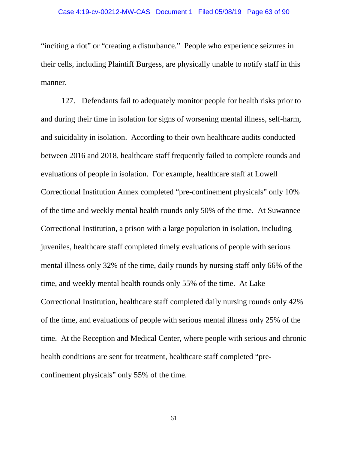"inciting a riot" or "creating a disturbance." People who experience seizures in their cells, including Plaintiff Burgess, are physically unable to notify staff in this manner.

127. Defendants fail to adequately monitor people for health risks prior to and during their time in isolation for signs of worsening mental illness, self-harm, and suicidality in isolation. According to their own healthcare audits conducted between 2016 and 2018, healthcare staff frequently failed to complete rounds and evaluations of people in isolation. For example, healthcare staff at Lowell Correctional Institution Annex completed "pre-confinement physicals" only 10% of the time and weekly mental health rounds only 50% of the time. At Suwannee Correctional Institution, a prison with a large population in isolation, including juveniles, healthcare staff completed timely evaluations of people with serious mental illness only 32% of the time, daily rounds by nursing staff only 66% of the time, and weekly mental health rounds only 55% of the time. At Lake Correctional Institution, healthcare staff completed daily nursing rounds only 42% of the time, and evaluations of people with serious mental illness only 25% of the time. At the Reception and Medical Center, where people with serious and chronic health conditions are sent for treatment, healthcare staff completed "preconfinement physicals" only 55% of the time.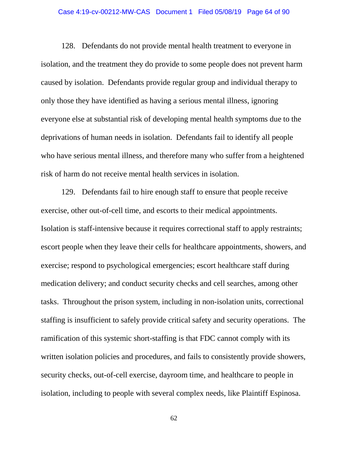# Case 4:19-cv-00212-MW-CAS Document 1 Filed 05/08/19 Page 64 of 90

128. Defendants do not provide mental health treatment to everyone in isolation, and the treatment they do provide to some people does not prevent harm caused by isolation. Defendants provide regular group and individual therapy to only those they have identified as having a serious mental illness, ignoring everyone else at substantial risk of developing mental health symptoms due to the deprivations of human needs in isolation. Defendants fail to identify all people who have serious mental illness, and therefore many who suffer from a heightened risk of harm do not receive mental health services in isolation.

129. Defendants fail to hire enough staff to ensure that people receive exercise, other out-of-cell time, and escorts to their medical appointments. Isolation is staff-intensive because it requires correctional staff to apply restraints; escort people when they leave their cells for healthcare appointments, showers, and exercise; respond to psychological emergencies; escort healthcare staff during medication delivery; and conduct security checks and cell searches, among other tasks. Throughout the prison system, including in non-isolation units, correctional staffing is insufficient to safely provide critical safety and security operations. The ramification of this systemic short-staffing is that FDC cannot comply with its written isolation policies and procedures, and fails to consistently provide showers, security checks, out-of-cell exercise, dayroom time, and healthcare to people in isolation, including to people with several complex needs, like Plaintiff Espinosa.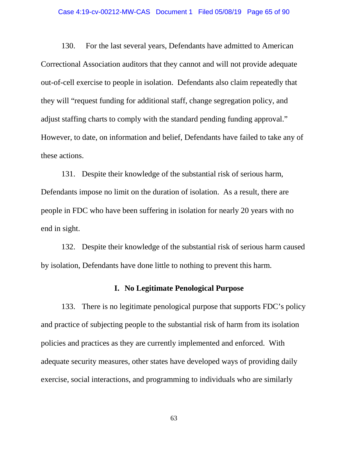# Case 4:19-cv-00212-MW-CAS Document 1 Filed 05/08/19 Page 65 of 90

130. For the last several years, Defendants have admitted to American Correctional Association auditors that they cannot and will not provide adequate out-of-cell exercise to people in isolation. Defendants also claim repeatedly that they will "request funding for additional staff, change segregation policy, and adjust staffing charts to comply with the standard pending funding approval." However, to date, on information and belief, Defendants have failed to take any of these actions.

131. Despite their knowledge of the substantial risk of serious harm, Defendants impose no limit on the duration of isolation. As a result, there are people in FDC who have been suffering in isolation for nearly 20 years with no end in sight.

132. Despite their knowledge of the substantial risk of serious harm caused by isolation, Defendants have done little to nothing to prevent this harm.

### **I. No Legitimate Penological Purpose**

133. There is no legitimate penological purpose that supports FDC's policy and practice of subjecting people to the substantial risk of harm from its isolation policies and practices as they are currently implemented and enforced. With adequate security measures, other states have developed ways of providing daily exercise, social interactions, and programming to individuals who are similarly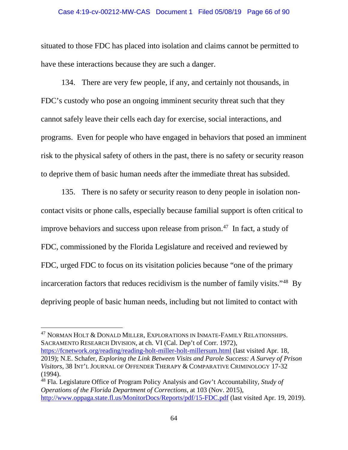#### Case 4:19-cv-00212-MW-CAS Document 1 Filed 05/08/19 Page 66 of 90

situated to those FDC has placed into isolation and claims cannot be permitted to have these interactions because they are such a danger.

134. There are very few people, if any, and certainly not thousands, in FDC's custody who pose an ongoing imminent security threat such that they cannot safely leave their cells each day for exercise, social interactions, and programs. Even for people who have engaged in behaviors that posed an imminent risk to the physical safety of others in the past, there is no safety or security reason to deprive them of basic human needs after the immediate threat has subsided.

135. There is no safety or security reason to deny people in isolation noncontact visits or phone calls, especially because familial support is often critical to improve behaviors and success upon release from prison.<sup>47</sup> In fact, a study of FDC, commissioned by the Florida Legislature and received and reviewed by FDC, urged FDC to focus on its visitation policies because "one of the primary incarceration factors that reduces recidivism is the number of family visits."48 By depriving people of basic human needs, including but not limited to contact with

<sup>47</sup> NORMAN HOLT & DONALD MILLER, EXPLORATIONS IN INMATE-FAMILY RELATIONSHIPS. SACRAMENTO RESEARCH DIVISION, at ch. VI (Cal. Dep't of Corr. 1972), https://fcnetwork.org/reading/reading-holt-miller-holt-millersum.html (last visited Apr. 18,

 $\overline{a}$ 

2019); N.E. Schafer, *Exploring the Link Between Visits and Parole Success: A Survey of Prison Visitors*, 38 INT'L JOURNAL OF OFFENDER THERAPY & COMPARATIVE CRIMINOLOGY 17-32 (1994).

<sup>48</sup> Fla. Legislature Office of Program Policy Analysis and Gov't Accountability, *Study of Operations of the Florida Department of Corrections*, at 103 (Nov. 2015), http://www.oppaga.state.fl.us/MonitorDocs/Reports/pdf/15-FDC.pdf (last visited Apr. 19, 2019).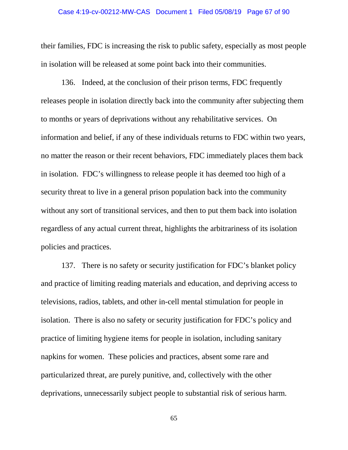# Case 4:19-cv-00212-MW-CAS Document 1 Filed 05/08/19 Page 67 of 90

their families, FDC is increasing the risk to public safety, especially as most people in isolation will be released at some point back into their communities.

136. Indeed, at the conclusion of their prison terms, FDC frequently releases people in isolation directly back into the community after subjecting them to months or years of deprivations without any rehabilitative services. On information and belief, if any of these individuals returns to FDC within two years, no matter the reason or their recent behaviors, FDC immediately places them back in isolation. FDC's willingness to release people it has deemed too high of a security threat to live in a general prison population back into the community without any sort of transitional services, and then to put them back into isolation regardless of any actual current threat, highlights the arbitrariness of its isolation policies and practices.

137. There is no safety or security justification for FDC's blanket policy and practice of limiting reading materials and education, and depriving access to televisions, radios, tablets, and other in-cell mental stimulation for people in isolation. There is also no safety or security justification for FDC's policy and practice of limiting hygiene items for people in isolation, including sanitary napkins for women. These policies and practices, absent some rare and particularized threat, are purely punitive, and, collectively with the other deprivations, unnecessarily subject people to substantial risk of serious harm.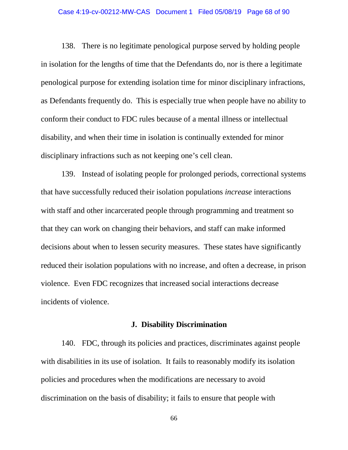# Case 4:19-cv-00212-MW-CAS Document 1 Filed 05/08/19 Page 68 of 90

138. There is no legitimate penological purpose served by holding people in isolation for the lengths of time that the Defendants do, nor is there a legitimate penological purpose for extending isolation time for minor disciplinary infractions, as Defendants frequently do. This is especially true when people have no ability to conform their conduct to FDC rules because of a mental illness or intellectual disability, and when their time in isolation is continually extended for minor disciplinary infractions such as not keeping one's cell clean.

139. Instead of isolating people for prolonged periods, correctional systems that have successfully reduced their isolation populations *increase* interactions with staff and other incarcerated people through programming and treatment so that they can work on changing their behaviors, and staff can make informed decisions about when to lessen security measures. These states have significantly reduced their isolation populations with no increase, and often a decrease, in prison violence. Even FDC recognizes that increased social interactions decrease incidents of violence.

#### **J. Disability Discrimination**

140. FDC, through its policies and practices, discriminates against people with disabilities in its use of isolation. It fails to reasonably modify its isolation policies and procedures when the modifications are necessary to avoid discrimination on the basis of disability; it fails to ensure that people with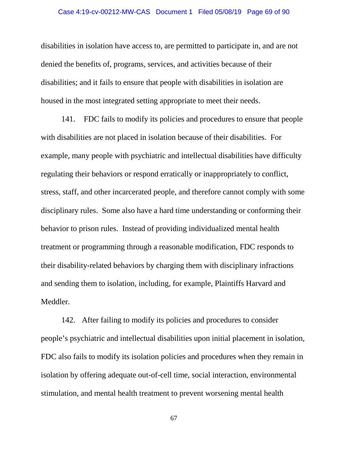### Case 4:19-cv-00212-MW-CAS Document 1 Filed 05/08/19 Page 69 of 90

disabilities in isolation have access to, are permitted to participate in, and are not denied the benefits of, programs, services, and activities because of their disabilities; and it fails to ensure that people with disabilities in isolation are housed in the most integrated setting appropriate to meet their needs.

141. FDC fails to modify its policies and procedures to ensure that people with disabilities are not placed in isolation because of their disabilities. For example, many people with psychiatric and intellectual disabilities have difficulty regulating their behaviors or respond erratically or inappropriately to conflict, stress, staff, and other incarcerated people, and therefore cannot comply with some disciplinary rules. Some also have a hard time understanding or conforming their behavior to prison rules. Instead of providing individualized mental health treatment or programming through a reasonable modification, FDC responds to their disability-related behaviors by charging them with disciplinary infractions and sending them to isolation, including, for example, Plaintiffs Harvard and Meddler.

142. After failing to modify its policies and procedures to consider people's psychiatric and intellectual disabilities upon initial placement in isolation, FDC also fails to modify its isolation policies and procedures when they remain in isolation by offering adequate out-of-cell time, social interaction, environmental stimulation, and mental health treatment to prevent worsening mental health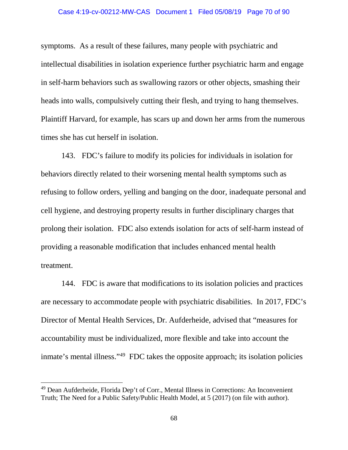### Case 4:19-cv-00212-MW-CAS Document 1 Filed 05/08/19 Page 70 of 90

symptoms. As a result of these failures, many people with psychiatric and intellectual disabilities in isolation experience further psychiatric harm and engage in self-harm behaviors such as swallowing razors or other objects, smashing their heads into walls, compulsively cutting their flesh, and trying to hang themselves. Plaintiff Harvard, for example, has scars up and down her arms from the numerous times she has cut herself in isolation.

143. FDC's failure to modify its policies for individuals in isolation for behaviors directly related to their worsening mental health symptoms such as refusing to follow orders, yelling and banging on the door, inadequate personal and cell hygiene, and destroying property results in further disciplinary charges that prolong their isolation. FDC also extends isolation for acts of self-harm instead of providing a reasonable modification that includes enhanced mental health treatment.

144. FDC is aware that modifications to its isolation policies and practices are necessary to accommodate people with psychiatric disabilities. In 2017, FDC's Director of Mental Health Services, Dr. Aufderheide, advised that "measures for accountability must be individualized, more flexible and take into account the inmate's mental illness."49 FDC takes the opposite approach; its isolation policies

l

<sup>49</sup> Dean Aufderheide, Florida Dep't of Corr., Mental Illness in Corrections: An Inconvenient Truth; The Need for a Public Safety/Public Health Model, at 5 (2017) (on file with author).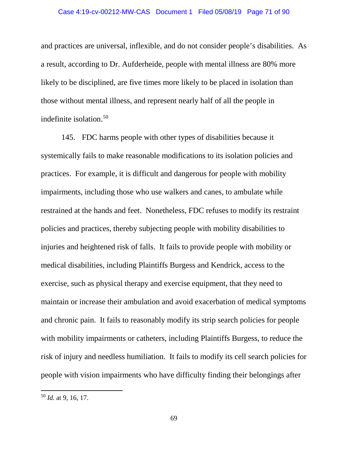and practices are universal, inflexible, and do not consider people's disabilities. As a result, according to Dr. Aufderheide, people with mental illness are 80% more likely to be disciplined, are five times more likely to be placed in isolation than those without mental illness, and represent nearly half of all the people in indefinite isolation.50

145. FDC harms people with other types of disabilities because it systemically fails to make reasonable modifications to its isolation policies and practices. For example, it is difficult and dangerous for people with mobility impairments, including those who use walkers and canes, to ambulate while restrained at the hands and feet. Nonetheless, FDC refuses to modify its restraint policies and practices, thereby subjecting people with mobility disabilities to injuries and heightened risk of falls. It fails to provide people with mobility or medical disabilities, including Plaintiffs Burgess and Kendrick, access to the exercise, such as physical therapy and exercise equipment, that they need to maintain or increase their ambulation and avoid exacerbation of medical symptoms and chronic pain. It fails to reasonably modify its strip search policies for people with mobility impairments or catheters, including Plaintiffs Burgess, to reduce the risk of injury and needless humiliation. It fails to modify its cell search policies for people with vision impairments who have difficulty finding their belongings after

l

<sup>50</sup> *Id.* at 9, 16, 17.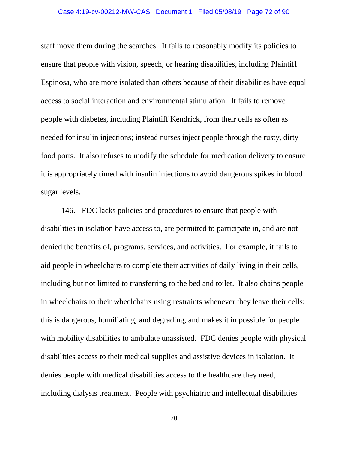# Case 4:19-cv-00212-MW-CAS Document 1 Filed 05/08/19 Page 72 of 90

staff move them during the searches. It fails to reasonably modify its policies to ensure that people with vision, speech, or hearing disabilities, including Plaintiff Espinosa, who are more isolated than others because of their disabilities have equal access to social interaction and environmental stimulation. It fails to remove people with diabetes, including Plaintiff Kendrick, from their cells as often as needed for insulin injections; instead nurses inject people through the rusty, dirty food ports. It also refuses to modify the schedule for medication delivery to ensure it is appropriately timed with insulin injections to avoid dangerous spikes in blood sugar levels.

146. FDC lacks policies and procedures to ensure that people with disabilities in isolation have access to, are permitted to participate in, and are not denied the benefits of, programs, services, and activities. For example, it fails to aid people in wheelchairs to complete their activities of daily living in their cells, including but not limited to transferring to the bed and toilet. It also chains people in wheelchairs to their wheelchairs using restraints whenever they leave their cells; this is dangerous, humiliating, and degrading, and makes it impossible for people with mobility disabilities to ambulate unassisted. FDC denies people with physical disabilities access to their medical supplies and assistive devices in isolation. It denies people with medical disabilities access to the healthcare they need, including dialysis treatment. People with psychiatric and intellectual disabilities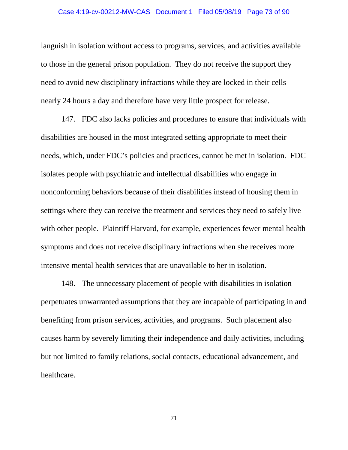#### Case 4:19-cv-00212-MW-CAS Document 1 Filed 05/08/19 Page 73 of 90

languish in isolation without access to programs, services, and activities available to those in the general prison population. They do not receive the support they need to avoid new disciplinary infractions while they are locked in their cells nearly 24 hours a day and therefore have very little prospect for release.

147. FDC also lacks policies and procedures to ensure that individuals with disabilities are housed in the most integrated setting appropriate to meet their needs, which, under FDC's policies and practices, cannot be met in isolation. FDC isolates people with psychiatric and intellectual disabilities who engage in nonconforming behaviors because of their disabilities instead of housing them in settings where they can receive the treatment and services they need to safely live with other people. Plaintiff Harvard, for example, experiences fewer mental health symptoms and does not receive disciplinary infractions when she receives more intensive mental health services that are unavailable to her in isolation.

148. The unnecessary placement of people with disabilities in isolation perpetuates unwarranted assumptions that they are incapable of participating in and benefiting from prison services, activities, and programs. Such placement also causes harm by severely limiting their independence and daily activities, including but not limited to family relations, social contacts, educational advancement, and healthcare.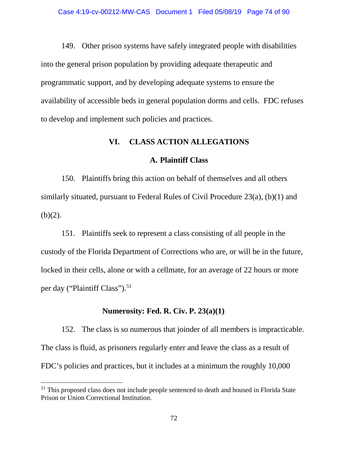149. Other prison systems have safely integrated people with disabilities into the general prison population by providing adequate therapeutic and programmatic support, and by developing adequate systems to ensure the availability of accessible beds in general population dorms and cells. FDC refuses to develop and implement such policies and practices.

## **VI. CLASS ACTION ALLEGATIONS**

### **A. Plaintiff Class**

150. Plaintiffs bring this action on behalf of themselves and all others similarly situated, pursuant to Federal Rules of Civil Procedure 23(a), (b)(1) and  $(b)(2)$ .

151. Plaintiffs seek to represent a class consisting of all people in the custody of the Florida Department of Corrections who are, or will be in the future, locked in their cells, alone or with a cellmate, for an average of 22 hours or more per day ("Plaintiff Class").<sup>51</sup>

### **Numerosity: Fed. R. Civ. P. 23(a)(1)**

152. The class is so numerous that joinder of all members is impracticable. The class is fluid, as prisoners regularly enter and leave the class as a result of FDC's policies and practices, but it includes at a minimum the roughly 10,000

l

<sup>&</sup>lt;sup>51</sup> This proposed class does not include people sentenced to death and housed in Florida State Prison or Union Correctional Institution.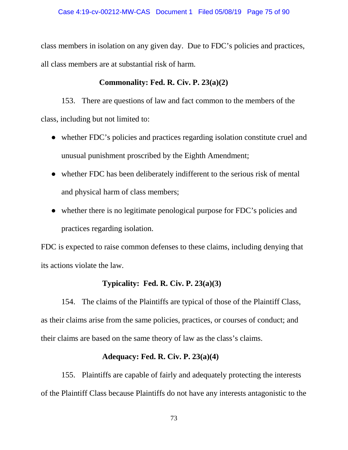class members in isolation on any given day. Due to FDC's policies and practices, all class members are at substantial risk of harm.

# **Commonality: Fed. R. Civ. P. 23(a)(2)**

153. There are questions of law and fact common to the members of the class, including but not limited to:

- whether FDC's policies and practices regarding isolation constitute cruel and unusual punishment proscribed by the Eighth Amendment;
- whether FDC has been deliberately indifferent to the serious risk of mental and physical harm of class members;
- whether there is no legitimate penological purpose for FDC's policies and practices regarding isolation.

FDC is expected to raise common defenses to these claims, including denying that its actions violate the law.

# **Typicality: Fed. R. Civ. P. 23(a)(3)**

154. The claims of the Plaintiffs are typical of those of the Plaintiff Class, as their claims arise from the same policies, practices, or courses of conduct; and their claims are based on the same theory of law as the class's claims.

# **Adequacy: Fed. R. Civ. P. 23(a)(4)**

155. Plaintiffs are capable of fairly and adequately protecting the interests of the Plaintiff Class because Plaintiffs do not have any interests antagonistic to the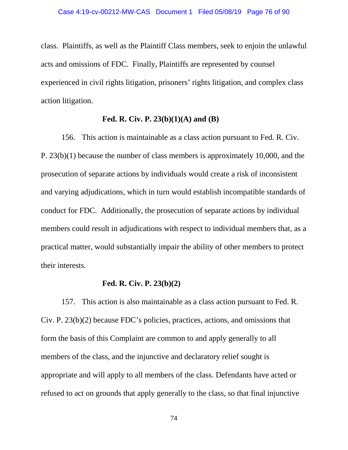class. Plaintiffs, as well as the Plaintiff Class members, seek to enjoin the unlawful acts and omissions of FDC. Finally, Plaintiffs are represented by counsel experienced in civil rights litigation, prisoners' rights litigation, and complex class action litigation.

#### **Fed. R. Civ. P. 23(b)(1)(A) and (B)**

156. This action is maintainable as a class action pursuant to Fed. R. Civ. P. 23(b)(1) because the number of class members is approximately 10,000, and the prosecution of separate actions by individuals would create a risk of inconsistent and varying adjudications, which in turn would establish incompatible standards of conduct for FDC. Additionally, the prosecution of separate actions by individual members could result in adjudications with respect to individual members that, as a practical matter, would substantially impair the ability of other members to protect their interests.

#### **Fed. R. Civ. P. 23(b)(2)**

157. This action is also maintainable as a class action pursuant to Fed. R. Civ. P. 23(b)(2) because FDC's policies, practices, actions, and omissions that form the basis of this Complaint are common to and apply generally to all members of the class, and the injunctive and declaratory relief sought is appropriate and will apply to all members of the class. Defendants have acted or refused to act on grounds that apply generally to the class, so that final injunctive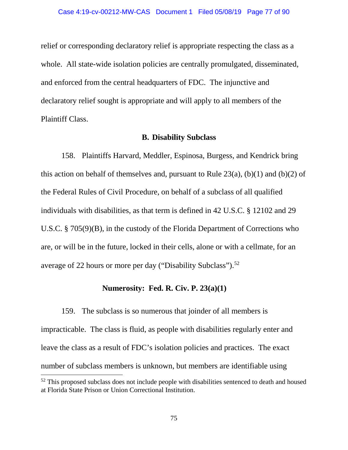relief or corresponding declaratory relief is appropriate respecting the class as a whole. All state-wide isolation policies are centrally promulgated, disseminated, and enforced from the central headquarters of FDC. The injunctive and declaratory relief sought is appropriate and will apply to all members of the Plaintiff Class.

#### **B. Disability Subclass**

158. Plaintiffs Harvard, Meddler, Espinosa, Burgess, and Kendrick bring this action on behalf of themselves and, pursuant to Rule  $23(a)$ ,  $(b)(1)$  and  $(b)(2)$  of the Federal Rules of Civil Procedure, on behalf of a subclass of all qualified individuals with disabilities, as that term is defined in 42 U.S.C. § 12102 and 29 U.S.C. § 705(9)(B), in the custody of the Florida Department of Corrections who are, or will be in the future, locked in their cells, alone or with a cellmate, for an average of 22 hours or more per day ("Disability Subclass").52

### **Numerosity: Fed. R. Civ. P. 23(a)(1)**

159. The subclass is so numerous that joinder of all members is impracticable. The class is fluid, as people with disabilities regularly enter and leave the class as a result of FDC's isolation policies and practices. The exact number of subclass members is unknown, but members are identifiable using

 $52$  This proposed subclass does not include people with disabilities sentenced to death and housed at Florida State Prison or Union Correctional Institution.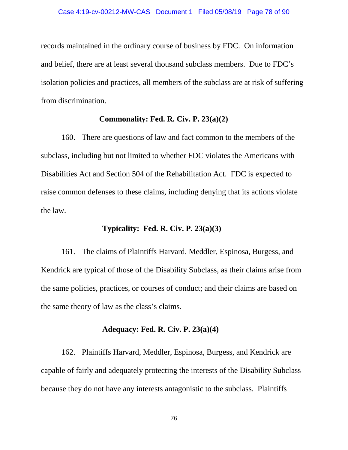records maintained in the ordinary course of business by FDC. On information and belief, there are at least several thousand subclass members. Due to FDC's isolation policies and practices, all members of the subclass are at risk of suffering from discrimination.

#### **Commonality: Fed. R. Civ. P. 23(a)(2)**

160. There are questions of law and fact common to the members of the subclass, including but not limited to whether FDC violates the Americans with Disabilities Act and Section 504 of the Rehabilitation Act. FDC is expected to raise common defenses to these claims, including denying that its actions violate the law.

## **Typicality: Fed. R. Civ. P. 23(a)(3)**

161. The claims of Plaintiffs Harvard, Meddler, Espinosa, Burgess, and Kendrick are typical of those of the Disability Subclass, as their claims arise from the same policies, practices, or courses of conduct; and their claims are based on the same theory of law as the class's claims.

### **Adequacy: Fed. R. Civ. P. 23(a)(4)**

162. Plaintiffs Harvard, Meddler, Espinosa, Burgess, and Kendrick are capable of fairly and adequately protecting the interests of the Disability Subclass because they do not have any interests antagonistic to the subclass. Plaintiffs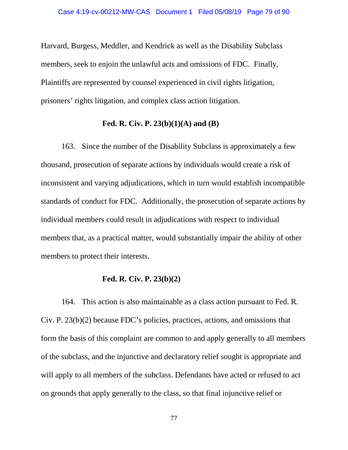Harvard, Burgess, Meddler, and Kendrick as well as the Disability Subclass members, seek to enjoin the unlawful acts and omissions of FDC. Finally, Plaintiffs are represented by counsel experienced in civil rights litigation, prisoners' rights litigation, and complex class action litigation.

### **Fed. R. Civ. P. 23(b)(1)(A) and (B)**

163. Since the number of the Disability Subclass is approximately a few thousand, prosecution of separate actions by individuals would create a risk of inconsistent and varying adjudications, which in turn would establish incompatible standards of conduct for FDC. Additionally, the prosecution of separate actions by individual members could result in adjudications with respect to individual members that, as a practical matter, would substantially impair the ability of other members to protect their interests.

### **Fed. R. Civ. P. 23(b)(2)**

164. This action is also maintainable as a class action pursuant to Fed. R. Civ. P. 23(b)(2) because FDC's policies, practices, actions, and omissions that form the basis of this complaint are common to and apply generally to all members of the subclass, and the injunctive and declaratory relief sought is appropriate and will apply to all members of the subclass. Defendants have acted or refused to act on grounds that apply generally to the class, so that final injunctive relief or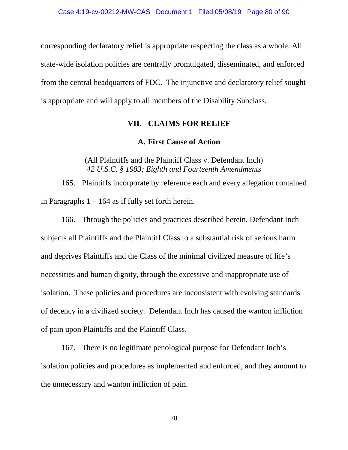corresponding declaratory relief is appropriate respecting the class as a whole. All state-wide isolation policies are centrally promulgated, disseminated, and enforced from the central headquarters of FDC. The injunctive and declaratory relief sought is appropriate and will apply to all members of the Disability Subclass.

## **VII. CLAIMS FOR RELIEF**

## **A. First Cause of Action**

(All Plaintiffs and the Plaintiff Class v. Defendant Inch) *42 U.S.C. § 1983; Eighth and Fourteenth Amendments* 

165. Plaintiffs incorporate by reference each and every allegation contained in Paragraphs  $1 - 164$  as if fully set forth herein.

166. Through the policies and practices described herein, Defendant Inch subjects all Plaintiffs and the Plaintiff Class to a substantial risk of serious harm and deprives Plaintiffs and the Class of the minimal civilized measure of life's necessities and human dignity, through the excessive and inappropriate use of isolation. These policies and procedures are inconsistent with evolving standards of decency in a civilized society. Defendant Inch has caused the wanton infliction of pain upon Plaintiffs and the Plaintiff Class.

167. There is no legitimate penological purpose for Defendant Inch's isolation policies and procedures as implemented and enforced, and they amount to the unnecessary and wanton infliction of pain.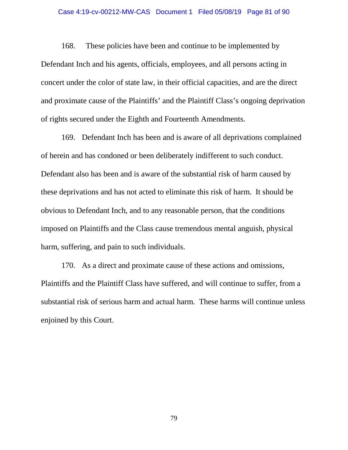## Case 4:19-cv-00212-MW-CAS Document 1 Filed 05/08/19 Page 81 of 90

168. These policies have been and continue to be implemented by Defendant Inch and his agents, officials, employees, and all persons acting in concert under the color of state law, in their official capacities, and are the direct and proximate cause of the Plaintiffs' and the Plaintiff Class's ongoing deprivation of rights secured under the Eighth and Fourteenth Amendments.

169. Defendant Inch has been and is aware of all deprivations complained of herein and has condoned or been deliberately indifferent to such conduct. Defendant also has been and is aware of the substantial risk of harm caused by these deprivations and has not acted to eliminate this risk of harm. It should be obvious to Defendant Inch, and to any reasonable person, that the conditions imposed on Plaintiffs and the Class cause tremendous mental anguish, physical harm, suffering, and pain to such individuals.

170. As a direct and proximate cause of these actions and omissions, Plaintiffs and the Plaintiff Class have suffered, and will continue to suffer, from a substantial risk of serious harm and actual harm. These harms will continue unless enjoined by this Court.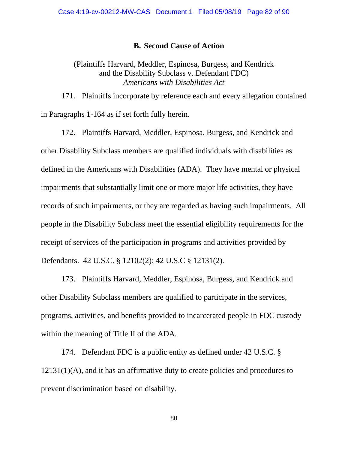#### **B. Second Cause of Action**

## (Plaintiffs Harvard, Meddler, Espinosa, Burgess, and Kendrick and the Disability Subclass v. Defendant FDC) *Americans with Disabilities Act*

171. Plaintiffs incorporate by reference each and every allegation contained in Paragraphs 1-164 as if set forth fully herein.

172. Plaintiffs Harvard, Meddler, Espinosa, Burgess, and Kendrick and other Disability Subclass members are qualified individuals with disabilities as defined in the Americans with Disabilities (ADA). They have mental or physical impairments that substantially limit one or more major life activities, they have records of such impairments, or they are regarded as having such impairments. All people in the Disability Subclass meet the essential eligibility requirements for the receipt of services of the participation in programs and activities provided by Defendants. 42 U.S.C. § 12102(2); 42 U.S.C § 12131(2).

173. Plaintiffs Harvard, Meddler, Espinosa, Burgess, and Kendrick and other Disability Subclass members are qualified to participate in the services, programs, activities, and benefits provided to incarcerated people in FDC custody within the meaning of Title II of the ADA.

174. Defendant FDC is a public entity as defined under 42 U.S.C. § 12131(1)(A), and it has an affirmative duty to create policies and procedures to prevent discrimination based on disability.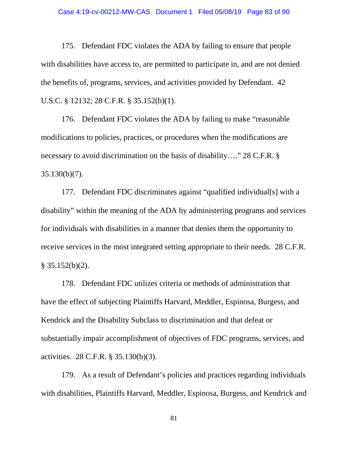## Case 4:19-cv-00212-MW-CAS Document 1 Filed 05/08/19 Page 83 of 90

175. Defendant FDC violates the ADA by failing to ensure that people with disabilities have access to, are permitted to participate in, and are not denied the benefits of, programs, services, and activities provided by Defendant. 42 U.S.C. § 12132; 28 C.F.R. § 35.152(b)(1).

176. Defendant FDC violates the ADA by failing to make "reasonable modifications to policies, practices, or procedures when the modifications are necessary to avoid discrimination on the basis of disability…." 28 C.F.R. § 35.130(b)(7).

177. Defendant FDC discriminates against "qualified individual[s] with a disability" within the meaning of the ADA by administering programs and services for individuals with disabilities in a manner that denies them the opportunity to receive services in the most integrated setting appropriate to their needs. 28 C.F.R.  $§$  35.152(b)(2).

178. Defendant FDC utilizes criteria or methods of administration that have the effect of subjecting Plaintiffs Harvard, Meddler, Espinosa, Burgess, and Kendrick and the Disability Subclass to discrimination and that defeat or substantially impair accomplishment of objectives of FDC programs, services, and activities. 28 C.F.R. § 35.130(b)(3).

179. As a result of Defendant's policies and practices regarding individuals with disabilities, Plaintiffs Harvard, Meddler, Espinosa, Burgess, and Kendrick and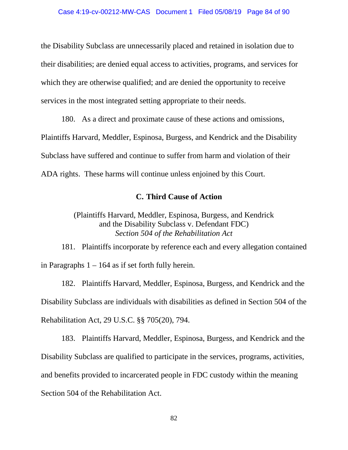the Disability Subclass are unnecessarily placed and retained in isolation due to their disabilities; are denied equal access to activities, programs, and services for which they are otherwise qualified; and are denied the opportunity to receive services in the most integrated setting appropriate to their needs.

180. As a direct and proximate cause of these actions and omissions, Plaintiffs Harvard, Meddler, Espinosa, Burgess, and Kendrick and the Disability Subclass have suffered and continue to suffer from harm and violation of their ADA rights. These harms will continue unless enjoined by this Court.

## **C. Third Cause of Action**

(Plaintiffs Harvard, Meddler, Espinosa, Burgess, and Kendrick and the Disability Subclass v. Defendant FDC) *Section 504 of the Rehabilitation Act*

181. Plaintiffs incorporate by reference each and every allegation contained in Paragraphs  $1 - 164$  as if set forth fully herein.

182. Plaintiffs Harvard, Meddler, Espinosa, Burgess, and Kendrick and the Disability Subclass are individuals with disabilities as defined in Section 504 of the Rehabilitation Act, 29 U.S.C. §§ 705(20), 794.

183. Plaintiffs Harvard, Meddler, Espinosa, Burgess, and Kendrick and the Disability Subclass are qualified to participate in the services, programs, activities, and benefits provided to incarcerated people in FDC custody within the meaning Section 504 of the Rehabilitation Act.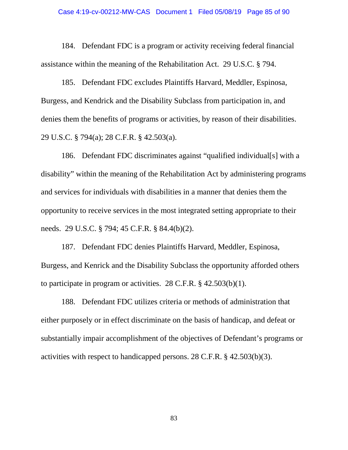## Case 4:19-cv-00212-MW-CAS Document 1 Filed 05/08/19 Page 85 of 90

184. Defendant FDC is a program or activity receiving federal financial assistance within the meaning of the Rehabilitation Act. 29 U.S.C. § 794.

185. Defendant FDC excludes Plaintiffs Harvard, Meddler, Espinosa, Burgess, and Kendrick and the Disability Subclass from participation in, and denies them the benefits of programs or activities, by reason of their disabilities. 29 U.S.C. § 794(a); 28 C.F.R. § 42.503(a).

186. Defendant FDC discriminates against "qualified individual[s] with a disability" within the meaning of the Rehabilitation Act by administering programs and services for individuals with disabilities in a manner that denies them the opportunity to receive services in the most integrated setting appropriate to their needs. 29 U.S.C. § 794; 45 C.F.R. § 84.4(b)(2).

187. Defendant FDC denies Plaintiffs Harvard, Meddler, Espinosa, Burgess, and Kenrick and the Disability Subclass the opportunity afforded others to participate in program or activities. 28 C.F.R. § 42.503(b)(1).

188. Defendant FDC utilizes criteria or methods of administration that either purposely or in effect discriminate on the basis of handicap, and defeat or substantially impair accomplishment of the objectives of Defendant's programs or activities with respect to handicapped persons. 28 C.F.R. § 42.503(b)(3).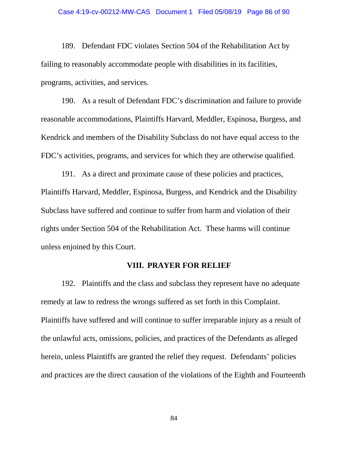#### Case 4:19-cv-00212-MW-CAS Document 1 Filed 05/08/19 Page 86 of 90

189. Defendant FDC violates Section 504 of the Rehabilitation Act by failing to reasonably accommodate people with disabilities in its facilities, programs, activities, and services.

190. As a result of Defendant FDC's discrimination and failure to provide reasonable accommodations, Plaintiffs Harvard, Meddler, Espinosa, Burgess, and Kendrick and members of the Disability Subclass do not have equal access to the FDC's activities, programs, and services for which they are otherwise qualified.

191. As a direct and proximate cause of these policies and practices, Plaintiffs Harvard, Meddler, Espinosa, Burgess, and Kendrick and the Disability Subclass have suffered and continue to suffer from harm and violation of their rights under Section 504 of the Rehabilitation Act. These harms will continue unless enjoined by this Court.

### **VIII. PRAYER FOR RELIEF**

192. Plaintiffs and the class and subclass they represent have no adequate remedy at law to redress the wrongs suffered as set forth in this Complaint. Plaintiffs have suffered and will continue to suffer irreparable injury as a result of the unlawful acts, omissions, policies, and practices of the Defendants as alleged herein, unless Plaintiffs are granted the relief they request. Defendants' policies and practices are the direct causation of the violations of the Eighth and Fourteenth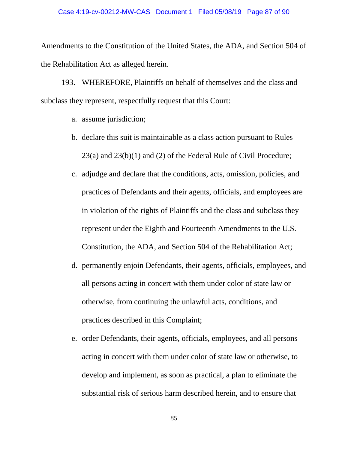Amendments to the Constitution of the United States, the ADA, and Section 504 of the Rehabilitation Act as alleged herein.

193. WHEREFORE, Plaintiffs on behalf of themselves and the class and subclass they represent, respectfully request that this Court:

- a. assume jurisdiction;
- b. declare this suit is maintainable as a class action pursuant to Rules 23(a) and 23(b)(1) and (2) of the Federal Rule of Civil Procedure;
- c. adjudge and declare that the conditions, acts, omission, policies, and practices of Defendants and their agents, officials, and employees are in violation of the rights of Plaintiffs and the class and subclass they represent under the Eighth and Fourteenth Amendments to the U.S. Constitution, the ADA, and Section 504 of the Rehabilitation Act;
- d. permanently enjoin Defendants, their agents, officials, employees, and all persons acting in concert with them under color of state law or otherwise, from continuing the unlawful acts, conditions, and practices described in this Complaint;
- e. order Defendants, their agents, officials, employees, and all persons acting in concert with them under color of state law or otherwise, to develop and implement, as soon as practical, a plan to eliminate the substantial risk of serious harm described herein, and to ensure that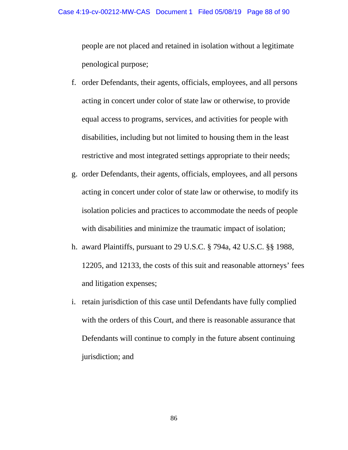people are not placed and retained in isolation without a legitimate penological purpose;

- f. order Defendants, their agents, officials, employees, and all persons acting in concert under color of state law or otherwise, to provide equal access to programs, services, and activities for people with disabilities, including but not limited to housing them in the least restrictive and most integrated settings appropriate to their needs;
- g. order Defendants, their agents, officials, employees, and all persons acting in concert under color of state law or otherwise, to modify its isolation policies and practices to accommodate the needs of people with disabilities and minimize the traumatic impact of isolation;
- h. award Plaintiffs, pursuant to 29 U.S.C. § 794a, 42 U.S.C. §§ 1988, 12205, and 12133, the costs of this suit and reasonable attorneys' fees and litigation expenses;
- i. retain jurisdiction of this case until Defendants have fully complied with the orders of this Court, and there is reasonable assurance that Defendants will continue to comply in the future absent continuing jurisdiction; and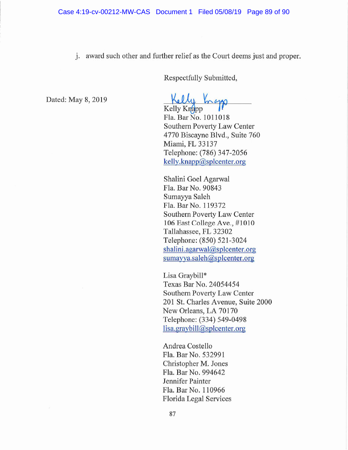j. award such other and further relief as the Court deems just and proper.

Respectfully Submitted,

Dated: May 8, 2019

Kelly Knapp

Fla. Bar No. 1011018 Southern Poverty Law Center 4770 Biscayne Blvd., Suite 760 Miami, FL 33137 Telephone: (786) 347-2056 kelly.knapp@splcenter.org

Shalini Goel Agarwal Fla. Bar No. 90843 Sumayya Saleh Fla. Bar No. 119372 Southern Poverty Law Center 106 East College Ave., #1010 Tallahassee, FL 32302 Telephone: (850) 521-3024 shalini.agarwal@splcenter.org sumayya.saleh@splcenter.org

Lisa Graybill\* Texas Bar No. 24054454 Southern Poverty Law Center 201 St. Charles Avenue, Suite 2000 New Orleans, LA 70170 Telephone: (334) 549-0498 lisa.graybill@splcenter.org

Andrea Costello Fla. Bar No. 532991 Christopher M. Jones Fla. Bar No. 994642 Jennifer Painter Fla. Bar No. 110966 Florida Legal Services